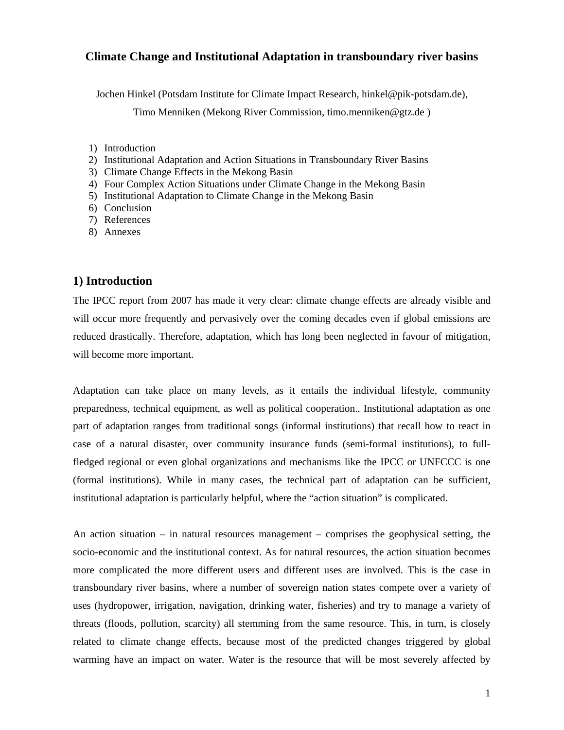## **Climate Change and Institutional Adaptation in transboundary river basins**

Jochen Hinkel (Potsdam Institute for Climate Impact Research, hinkel@pik-potsdam.de),

Timo Menniken (Mekong River Commission, timo.menniken@gtz.de )

- 1) Introduction
- 2) Institutional Adaptation and Action Situations in Transboundary River Basins
- 3) Climate Change Effects in the Mekong Basin
- 4) Four Complex Action Situations under Climate Change in the Mekong Basin
- 5) Institutional Adaptation to Climate Change in the Mekong Basin
- 6) Conclusion
- 7) References
- 8) Annexes

### **1) Introduction**

The IPCC report from 2007 has made it very clear: climate change effects are already visible and will occur more frequently and pervasively over the coming decades even if global emissions are reduced drastically. Therefore, adaptation, which has long been neglected in favour of mitigation, will become more important.

Adaptation can take place on many levels, as it entails the individual lifestyle, community preparedness, technical equipment, as well as political cooperation.. Institutional adaptation as one part of adaptation ranges from traditional songs (informal institutions) that recall how to react in case of a natural disaster, over community insurance funds (semi-formal institutions), to fullfledged regional or even global organizations and mechanisms like the IPCC or UNFCCC is one (formal institutions). While in many cases, the technical part of adaptation can be sufficient, institutional adaptation is particularly helpful, where the "action situation" is complicated.

An action situation – in natural resources management – comprises the geophysical setting, the socio-economic and the institutional context. As for natural resources, the action situation becomes more complicated the more different users and different uses are involved. This is the case in transboundary river basins, where a number of sovereign nation states compete over a variety of uses (hydropower, irrigation, navigation, drinking water, fisheries) and try to manage a variety of threats (floods, pollution, scarcity) all stemming from the same resource. This, in turn, is closely related to climate change effects, because most of the predicted changes triggered by global warming have an impact on water. Water is the resource that will be most severely affected by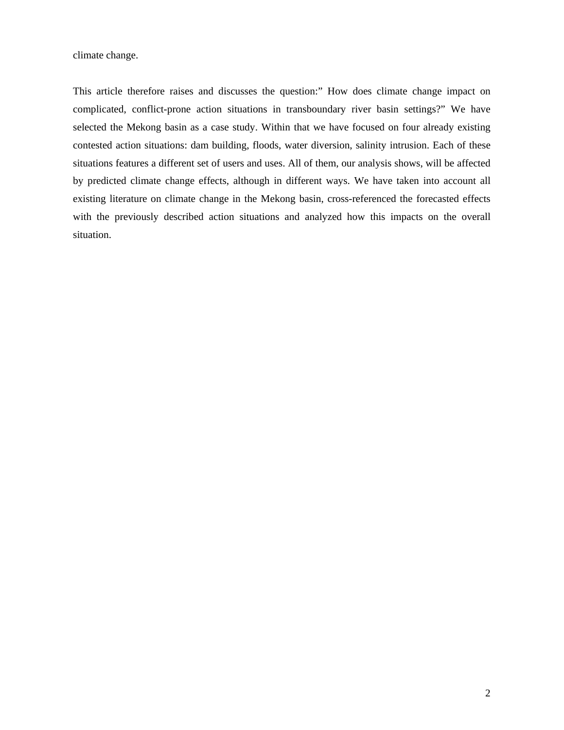climate change.

This article therefore raises and discusses the question:" How does climate change impact on complicated, conflict-prone action situations in transboundary river basin settings?" We have selected the Mekong basin as a case study. Within that we have focused on four already existing contested action situations: dam building, floods, water diversion, salinity intrusion. Each of these situations features a different set of users and uses. All of them, our analysis shows, will be affected by predicted climate change effects, although in different ways. We have taken into account all existing literature on climate change in the Mekong basin, cross-referenced the forecasted effects with the previously described action situations and analyzed how this impacts on the overall situation.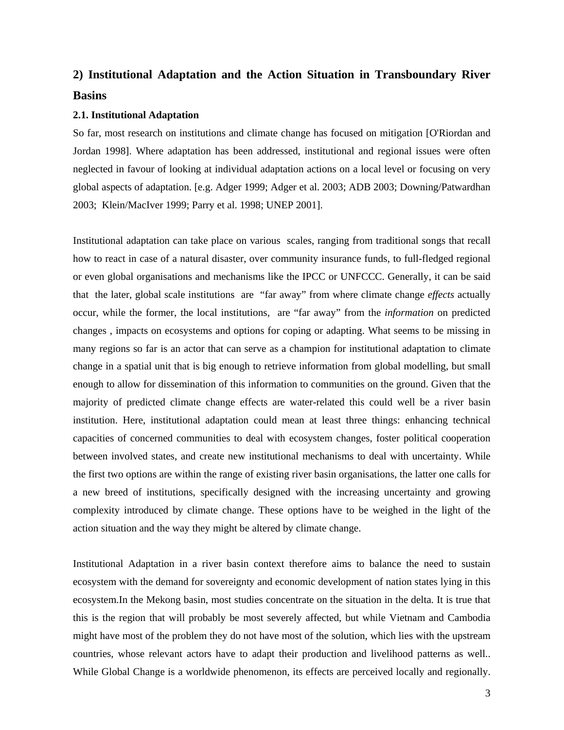# **2) Institutional Adaptation and the Action Situation in Transboundary River Basins**

#### **2.1. Institutional Adaptation**

So far, most research on institutions and climate change has focused on mitigation [O'Riordan and Jordan 1998]. Where adaptation has been addressed, institutional and regional issues were often neglected in favour of looking at individual adaptation actions on a local level or focusing on very global aspects of adaptation. [e.g. Adger 1999; Adger et al. 2003; ADB 2003; Downing/Patwardhan 2003; Klein/MacIver 1999; Parry et al. 1998; UNEP 2001].

Institutional adaptation can take place on various scales, ranging from traditional songs that recall how to react in case of a natural disaster, over community insurance funds, to full-fledged regional or even global organisations and mechanisms like the IPCC or UNFCCC. Generally, it can be said that the later, global scale institutions are "far away" from where climate change *effects* actually occur, while the former, the local institutions, are "far away" from the *information* on predicted changes , impacts on ecosystems and options for coping or adapting. What seems to be missing in many regions so far is an actor that can serve as a champion for institutional adaptation to climate change in a spatial unit that is big enough to retrieve information from global modelling, but small enough to allow for dissemination of this information to communities on the ground. Given that the majority of predicted climate change effects are water-related this could well be a river basin institution. Here, institutional adaptation could mean at least three things: enhancing technical capacities of concerned communities to deal with ecosystem changes, foster political cooperation between involved states, and create new institutional mechanisms to deal with uncertainty. While the first two options are within the range of existing river basin organisations, the latter one calls for a new breed of institutions, specifically designed with the increasing uncertainty and growing complexity introduced by climate change. These options have to be weighed in the light of the action situation and the way they might be altered by climate change.

Institutional Adaptation in a river basin context therefore aims to balance the need to sustain ecosystem with the demand for sovereignty and economic development of nation states lying in this ecosystem.In the Mekong basin, most studies concentrate on the situation in the delta. It is true that this is the region that will probably be most severely affected, but while Vietnam and Cambodia might have most of the problem they do not have most of the solution, which lies with the upstream countries, whose relevant actors have to adapt their production and livelihood patterns as well.. While Global Change is a worldwide phenomenon, its effects are perceived locally and regionally.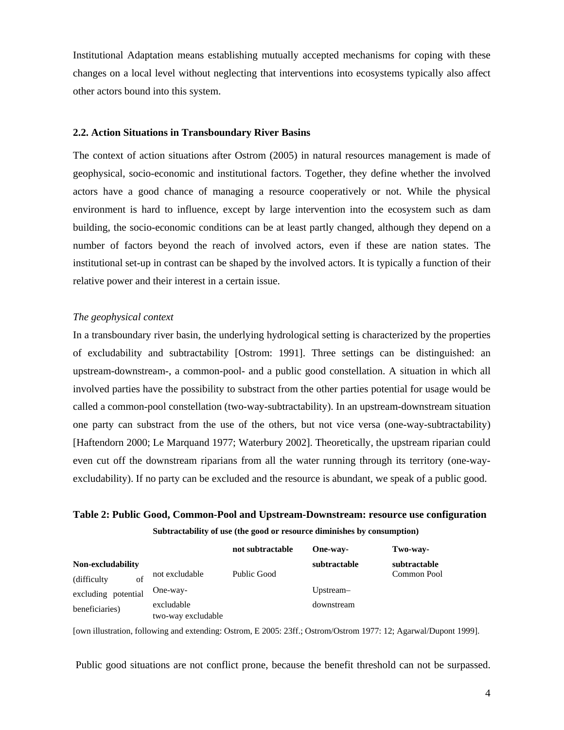Institutional Adaptation means establishing mutually accepted mechanisms for coping with these changes on a local level without neglecting that interventions into ecosystems typically also affect other actors bound into this system.

#### **2.2. Action Situations in Transboundary River Basins**

The context of action situations after Ostrom (2005) in natural resources management is made of geophysical, socio-economic and institutional factors. Together, they define whether the involved actors have a good chance of managing a resource cooperatively or not. While the physical environment is hard to influence, except by large intervention into the ecosystem such as dam building, the socio-economic conditions can be at least partly changed, although they depend on a number of factors beyond the reach of involved actors, even if these are nation states. The institutional set-up in contrast can be shaped by the involved actors. It is typically a function of their relative power and their interest in a certain issue.

#### *The geophysical context*

In a transboundary river basin, the underlying hydrological setting is characterized by the properties of excludability and subtractability [Ostrom: 1991]. Three settings can be distinguished: an upstream-downstream-, a common-pool- and a public good constellation. A situation in which all involved parties have the possibility to substract from the other parties potential for usage would be called a common-pool constellation (two-way-subtractability). In an upstream-downstream situation one party can substract from the use of the others, but not vice versa (one-way-subtractability) [Haftendorn 2000; Le Marquand 1977; Waterbury 2002]. Theoretically, the upstream riparian could even cut off the downstream riparians from all the water running through its territory (one-wayexcludability). If no party can be excluded and the resource is abundant, we speak of a public good.

## **Table 2: Public Good, Common-Pool and Upstream-Downstream: resource use configuration Subtractability of use (the good or resource diminishes by consumption)**

|                     |                    | not subtractable | One-way-     | Two-way-     |
|---------------------|--------------------|------------------|--------------|--------------|
| Non-excludability   |                    |                  | subtractable | subtractable |
| of<br>(difficulty)  | not excludable     | Public Good      |              | Common Pool  |
| excluding potential | One-way-           |                  | Upstream-    |              |
| beneficiaries)      | excludable         |                  | downstream   |              |
|                     | two-way excludable |                  |              |              |

[own illustration, following and extending: Ostrom, E 2005: 23ff.; Ostrom/Ostrom 1977: 12; Agarwal/Dupont 1999].

Public good situations are not conflict prone, because the benefit threshold can not be surpassed.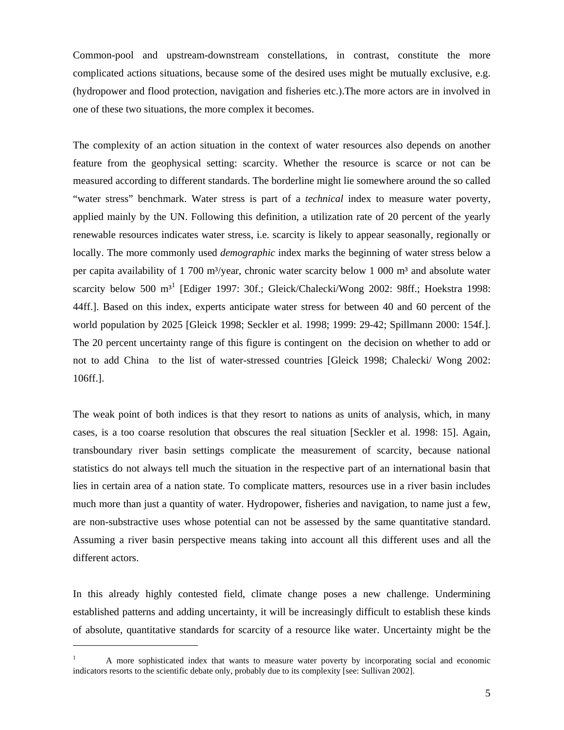Common-pool and upstream-downstream constellations, in contrast, constitute the more complicated actions situations, because some of the desired uses might be mutually exclusive, e.g. (hydropower and flood protection, navigation and fisheries etc.).The more actors are in involved in one of these two situations, the more complex it becomes.

The complexity of an action situation in the context of water resources also depends on another feature from the geophysical setting: scarcity. Whether the resource is scarce or not can be measured according to different standards. The borderline might lie somewhere around the so called "water stress" benchmark. Water stress is part of a *technical* index to measure water poverty, applied mainly by the UN. Following this definition, a utilization rate of 20 percent of the yearly renewable resources indicates water stress, i.e. scarcity is likely to appear seasonally, regionally or locally. The more commonly used *demographic* index marks the beginning of water stress below a per capita availability of 1 700 m<sup>3</sup>/year, chronic water scarcity below 1 000 m<sup>3</sup> and absolute water scarcity below 500 m<sup>31</sup> [Ediger 1997: 30f.; Gleick/Chalecki/Wong 2002: 98ff.; Hoekstra 1998: 44ff.]. Based on this index, experts anticipate water stress for between 40 and 60 percent of the world population by 2025 [Gleick 1998; Seckler et al. 1998; 1999: 29-42; Spillmann 2000: 154f.]. The 20 percent uncertainty range of this figure is contingent on the decision on whether to add or not to add China to the list of water-stressed countries [Gleick 1998; Chalecki/ Wong 2002: 106ff.].

The weak point of both indices is that they resort to nations as units of analysis, which, in many cases, is a too coarse resolution that obscures the real situation [Seckler et al. 1998: 15]. Again, transboundary river basin settings complicate the measurement of scarcity, because national statistics do not always tell much the situation in the respective part of an international basin that lies in certain area of a nation state. To complicate matters, resources use in a river basin includes much more than just a quantity of water. Hydropower, fisheries and navigation, to name just a few, are non-substractive uses whose potential can not be assessed by the same quantitative standard. Assuming a river basin perspective means taking into account all this different uses and all the different actors.

In this already highly contested field, climate change poses a new challenge. Undermining established patterns and adding uncertainty, it will be increasingly difficult to establish these kinds of absolute, quantitative standards for scarcity of a resource like water. Uncertainty might be the

 $\overline{a}$ 

<sup>1</sup> A more sophisticated index that wants to measure water poverty by incorporating social and economic indicators resorts to the scientific debate only, probably due to its complexity [see: Sullivan 2002].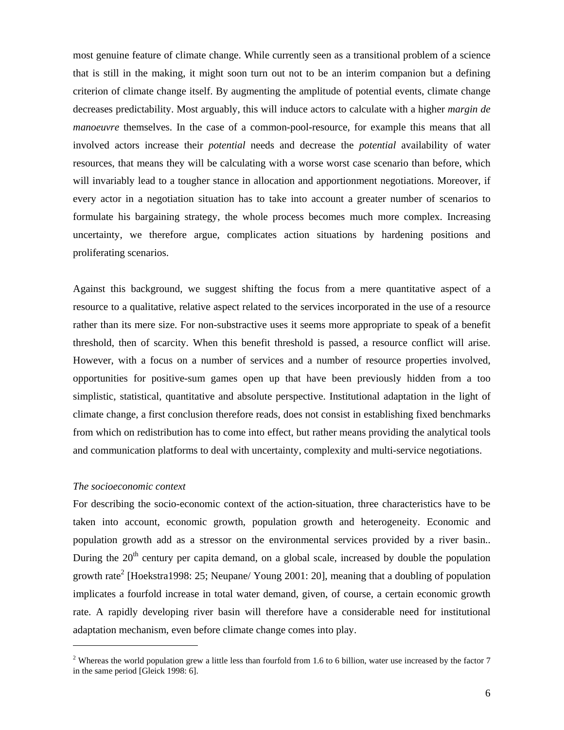most genuine feature of climate change. While currently seen as a transitional problem of a science that is still in the making, it might soon turn out not to be an interim companion but a defining criterion of climate change itself. By augmenting the amplitude of potential events, climate change decreases predictability. Most arguably, this will induce actors to calculate with a higher *margin de manoeuvre* themselves. In the case of a common-pool-resource, for example this means that all involved actors increase their *potential* needs and decrease the *potential* availability of water resources, that means they will be calculating with a worse worst case scenario than before, which will invariably lead to a tougher stance in allocation and apportionment negotiations. Moreover, if every actor in a negotiation situation has to take into account a greater number of scenarios to formulate his bargaining strategy, the whole process becomes much more complex. Increasing uncertainty, we therefore argue, complicates action situations by hardening positions and proliferating scenarios.

Against this background, we suggest shifting the focus from a mere quantitative aspect of a resource to a qualitative, relative aspect related to the services incorporated in the use of a resource rather than its mere size. For non-substractive uses it seems more appropriate to speak of a benefit threshold, then of scarcity. When this benefit threshold is passed, a resource conflict will arise. However, with a focus on a number of services and a number of resource properties involved, opportunities for positive-sum games open up that have been previously hidden from a too simplistic, statistical, quantitative and absolute perspective. Institutional adaptation in the light of climate change, a first conclusion therefore reads, does not consist in establishing fixed benchmarks from which on redistribution has to come into effect, but rather means providing the analytical tools and communication platforms to deal with uncertainty, complexity and multi-service negotiations.

#### *The socioeconomic context*

 $\overline{a}$ 

For describing the socio-economic context of the action-situation, three characteristics have to be taken into account, economic growth, population growth and heterogeneity. Economic and population growth add as a stressor on the environmental services provided by a river basin.. During the  $20<sup>th</sup>$  century per capita demand, on a global scale, increased by double the population growth rate<sup>2</sup> [Hoekstra1998: 25; Neupane/ Young 2001: 20], meaning that a doubling of population implicates a fourfold increase in total water demand, given, of course, a certain economic growth rate. A rapidly developing river basin will therefore have a considerable need for institutional adaptation mechanism, even before climate change comes into play.

<sup>&</sup>lt;sup>2</sup> Whereas the world population grew a little less than fourfold from 1.6 to 6 billion, water use increased by the factor  $7$ in the same period [Gleick 1998: 6].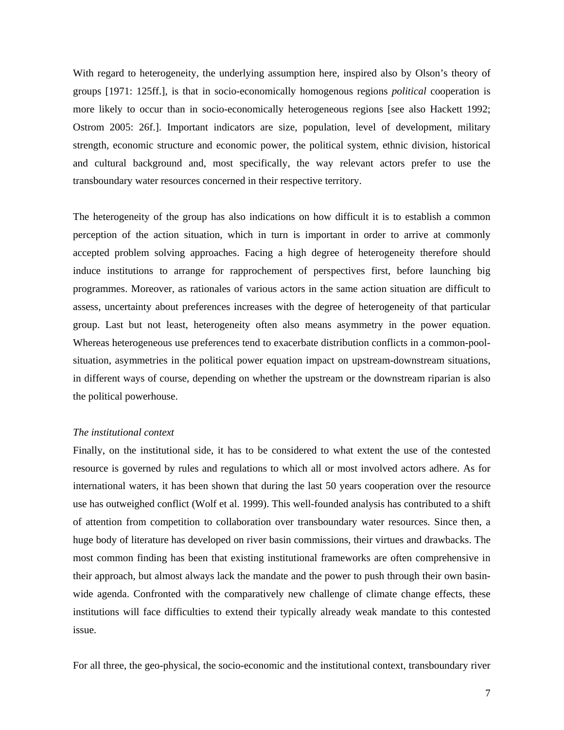With regard to heterogeneity, the underlying assumption here, inspired also by Olson's theory of groups [1971: 125ff.], is that in socio-economically homogenous regions *political* cooperation is more likely to occur than in socio-economically heterogeneous regions [see also Hackett 1992; Ostrom 2005: 26f.]. Important indicators are size, population, level of development, military strength, economic structure and economic power, the political system, ethnic division, historical and cultural background and, most specifically, the way relevant actors prefer to use the transboundary water resources concerned in their respective territory.

The heterogeneity of the group has also indications on how difficult it is to establish a common perception of the action situation, which in turn is important in order to arrive at commonly accepted problem solving approaches. Facing a high degree of heterogeneity therefore should induce institutions to arrange for rapprochement of perspectives first, before launching big programmes. Moreover, as rationales of various actors in the same action situation are difficult to assess, uncertainty about preferences increases with the degree of heterogeneity of that particular group. Last but not least, heterogeneity often also means asymmetry in the power equation. Whereas heterogeneous use preferences tend to exacerbate distribution conflicts in a common-poolsituation, asymmetries in the political power equation impact on upstream-downstream situations, in different ways of course, depending on whether the upstream or the downstream riparian is also the political powerhouse.

#### *The institutional context*

Finally, on the institutional side, it has to be considered to what extent the use of the contested resource is governed by rules and regulations to which all or most involved actors adhere. As for international waters, it has been shown that during the last 50 years cooperation over the resource use has outweighed conflict (Wolf et al. 1999). This well-founded analysis has contributed to a shift of attention from competition to collaboration over transboundary water resources. Since then, a huge body of literature has developed on river basin commissions, their virtues and drawbacks. The most common finding has been that existing institutional frameworks are often comprehensive in their approach, but almost always lack the mandate and the power to push through their own basinwide agenda. Confronted with the comparatively new challenge of climate change effects, these institutions will face difficulties to extend their typically already weak mandate to this contested issue.

For all three, the geo-physical, the socio-economic and the institutional context, transboundary river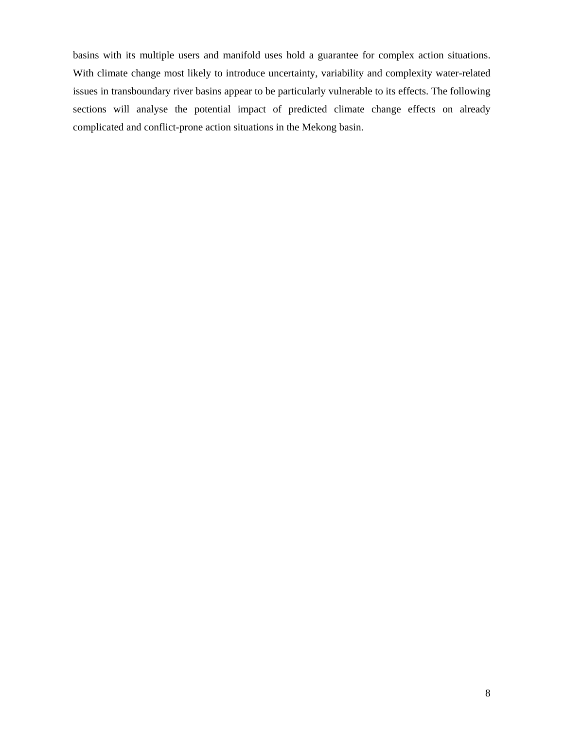basins with its multiple users and manifold uses hold a guarantee for complex action situations. With climate change most likely to introduce uncertainty, variability and complexity water-related issues in transboundary river basins appear to be particularly vulnerable to its effects. The following sections will analyse the potential impact of predicted climate change effects on already complicated and conflict-prone action situations in the Mekong basin.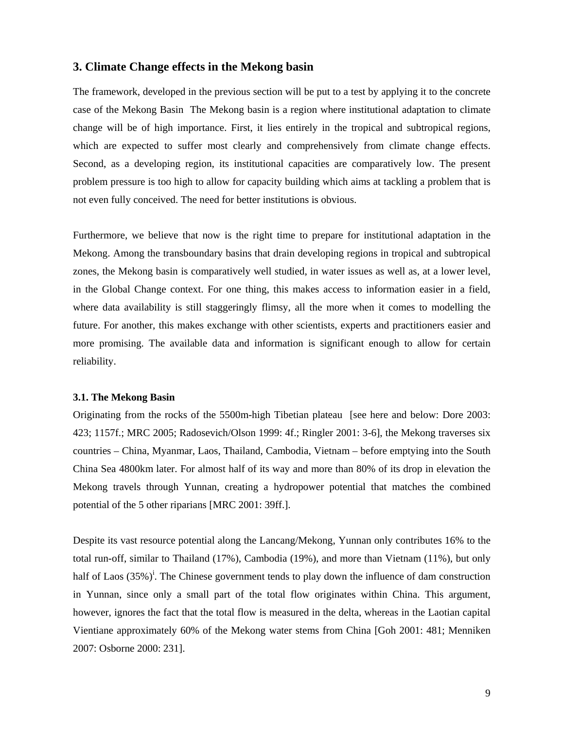### **3. Climate Change effects in the Mekong basin**

The framework, developed in the previous section will be put to a test by applying it to the concrete case of the Mekong Basin The Mekong basin is a region where institutional adaptation to climate change will be of high importance. First, it lies entirely in the tropical and subtropical regions, which are expected to suffer most clearly and comprehensively from climate change effects. Second, as a developing region, its institutional capacities are comparatively low. The present problem pressure is too high to allow for capacity building which aims at tackling a problem that is not even fully conceived. The need for better institutions is obvious.

Furthermore, we believe that now is the right time to prepare for institutional adaptation in the Mekong. Among the transboundary basins that drain developing regions in tropical and subtropical zones, the Mekong basin is comparatively well studied, in water issues as well as, at a lower level, in the Global Change context. For one thing, this makes access to information easier in a field, where data availability is still staggeringly flimsy, all the more when it comes to modelling the future. For another, this makes exchange with other scientists, experts and practitioners easier and more promising. The available data and information is significant enough to allow for certain reliability.

#### **3.1. The Mekong Basin**

Originating from the rocks of the 5500m-high Tibetian plateau [see here and below: Dore 2003: 423; 1157f.; MRC 2005; Radosevich/Olson 1999: 4f.; Ringler 2001: 3-6], the Mekong traverses six countries – China, Myanmar, Laos, Thailand, Cambodia, Vietnam – before emptying into the South China Sea 4800km later. For almost half of its way and more than 80% of its drop in elevation the Mekong travels through Yunnan, creating a hydropower potential that matches the combined potential of the 5 other riparians [MRC 2001: 39ff.].

Despite its vast resource potential along the Lancang/Mekong, Yunnan only contributes 16% to the total run-off, similar to Thailand (17%), Cambodia (19%), and more than Vietnam (11%), but only half of Laos  $(35\%)^i$ . The Chinese government tends to play down the influence of dam construction in Yunnan, since only a small part of the total flow originates within China. This argument, however, ignores the fact that the total flow is measured in the delta, whereas in the Laotian capital Vientiane approximately 60% of the Mekong water stems from China [Goh 2001: 481; Menniken 2007: Osborne 2000: 231].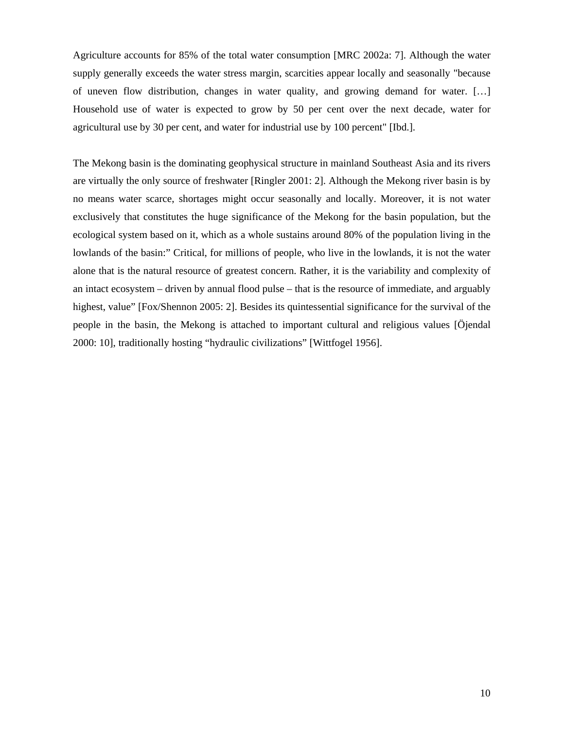Agriculture accounts for 85% of the total water consumption [MRC 2002a: 7]. Although the water supply generally exceeds the water stress margin, scarcities appear locally and seasonally "because of uneven flow distribution, changes in water quality, and growing demand for water. […] Household use of water is expected to grow by 50 per cent over the next decade, water for agricultural use by 30 per cent, and water for industrial use by 100 percent" [Ibd.].

The Mekong basin is the dominating geophysical structure in mainland Southeast Asia and its rivers are virtually the only source of freshwater [Ringler 2001: 2]. Although the Mekong river basin is by no means water scarce, shortages might occur seasonally and locally. Moreover, it is not water exclusively that constitutes the huge significance of the Mekong for the basin population, but the ecological system based on it, which as a whole sustains around 80% of the population living in the lowlands of the basin:" Critical, for millions of people, who live in the lowlands, it is not the water alone that is the natural resource of greatest concern. Rather, it is the variability and complexity of an intact ecosystem – driven by annual flood pulse – that is the resource of immediate, and arguably highest, value" [Fox/Shennon 2005: 2]. Besides its quintessential significance for the survival of the people in the basin, the Mekong is attached to important cultural and religious values [Öjendal 2000: 10], traditionally hosting "hydraulic civilizations" [Wittfogel 1956].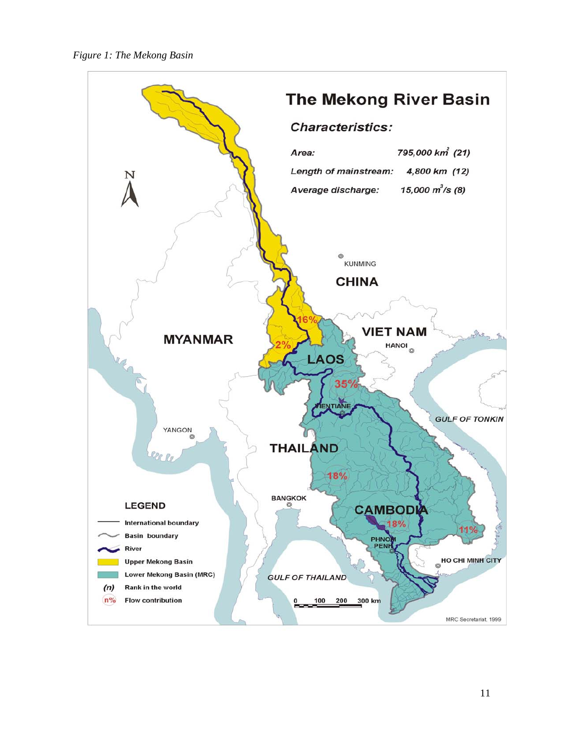

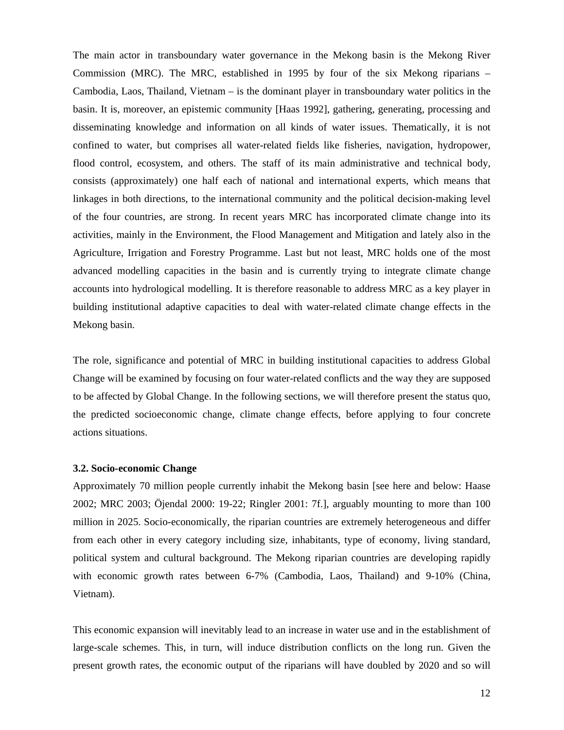The main actor in transboundary water governance in the Mekong basin is the Mekong River Commission (MRC). The MRC, established in 1995 by four of the six Mekong riparians – Cambodia, Laos, Thailand, Vietnam – is the dominant player in transboundary water politics in the basin. It is, moreover, an epistemic community [Haas 1992], gathering, generating, processing and disseminating knowledge and information on all kinds of water issues. Thematically, it is not confined to water, but comprises all water-related fields like fisheries, navigation, hydropower, flood control, ecosystem, and others. The staff of its main administrative and technical body, consists (approximately) one half each of national and international experts, which means that linkages in both directions, to the international community and the political decision-making level of the four countries, are strong. In recent years MRC has incorporated climate change into its activities, mainly in the Environment, the Flood Management and Mitigation and lately also in the Agriculture, Irrigation and Forestry Programme. Last but not least, MRC holds one of the most advanced modelling capacities in the basin and is currently trying to integrate climate change accounts into hydrological modelling. It is therefore reasonable to address MRC as a key player in building institutional adaptive capacities to deal with water-related climate change effects in the Mekong basin.

The role, significance and potential of MRC in building institutional capacities to address Global Change will be examined by focusing on four water-related conflicts and the way they are supposed to be affected by Global Change. In the following sections, we will therefore present the status quo, the predicted socioeconomic change, climate change effects, before applying to four concrete actions situations.

#### **3.2. Socio-economic Change**

Approximately 70 million people currently inhabit the Mekong basin [see here and below: Haase 2002; MRC 2003; Öjendal 2000: 19-22; Ringler 2001: 7f.], arguably mounting to more than 100 million in 2025. Socio-economically, the riparian countries are extremely heterogeneous and differ from each other in every category including size, inhabitants, type of economy, living standard, political system and cultural background. The Mekong riparian countries are developing rapidly with economic growth rates between 6-7% (Cambodia, Laos, Thailand) and 9-10% (China, Vietnam).

This economic expansion will inevitably lead to an increase in water use and in the establishment of large-scale schemes. This, in turn, will induce distribution conflicts on the long run. Given the present growth rates, the economic output of the riparians will have doubled by 2020 and so will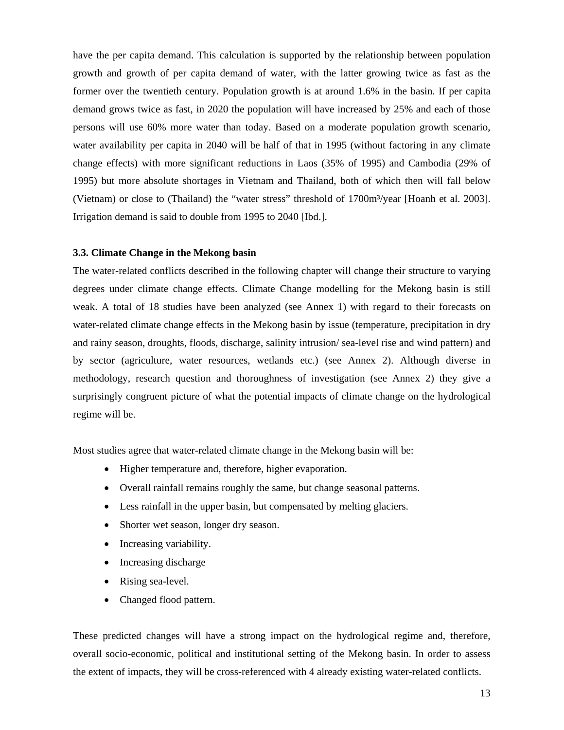have the per capita demand. This calculation is supported by the relationship between population growth and growth of per capita demand of water, with the latter growing twice as fast as the former over the twentieth century. Population growth is at around 1.6% in the basin. If per capita demand grows twice as fast, in 2020 the population will have increased by 25% and each of those persons will use 60% more water than today. Based on a moderate population growth scenario, water availability per capita in 2040 will be half of that in 1995 (without factoring in any climate change effects) with more significant reductions in Laos (35% of 1995) and Cambodia (29% of 1995) but more absolute shortages in Vietnam and Thailand, both of which then will fall below (Vietnam) or close to (Thailand) the "water stress" threshold of 1700m<sup>3</sup>/year [Hoanh et al. 2003]. Irrigation demand is said to double from 1995 to 2040 [Ibd.].

#### **3.3. Climate Change in the Mekong basin**

The water-related conflicts described in the following chapter will change their structure to varying degrees under climate change effects. Climate Change modelling for the Mekong basin is still weak. A total of 18 studies have been analyzed (see Annex 1) with regard to their forecasts on water-related climate change effects in the Mekong basin by issue (temperature, precipitation in dry and rainy season, droughts, floods, discharge, salinity intrusion/ sea-level rise and wind pattern) and by sector (agriculture, water resources, wetlands etc.) (see Annex 2). Although diverse in methodology, research question and thoroughness of investigation (see Annex 2) they give a surprisingly congruent picture of what the potential impacts of climate change on the hydrological regime will be.

Most studies agree that water-related climate change in the Mekong basin will be:

- Higher temperature and, therefore, higher evaporation.
- Overall rainfall remains roughly the same, but change seasonal patterns.
- Less rainfall in the upper basin, but compensated by melting glaciers.
- Shorter wet season, longer dry season.
- Increasing variability.
- Increasing discharge
- Rising sea-level.
- Changed flood pattern.

These predicted changes will have a strong impact on the hydrological regime and, therefore, overall socio-economic, political and institutional setting of the Mekong basin. In order to assess the extent of impacts, they will be cross-referenced with 4 already existing water-related conflicts.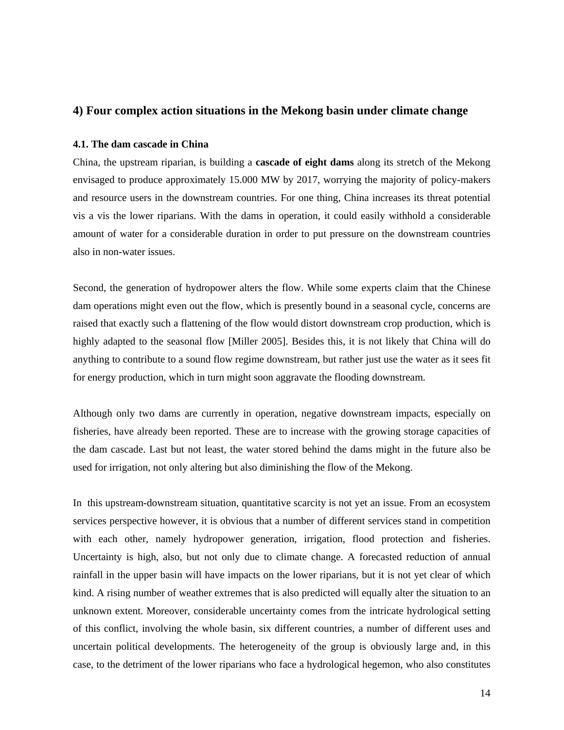## **4) Four complex action situations in the Mekong basin under climate change**

#### **4.1. The dam cascade in China**

China, the upstream riparian, is building a **cascade of eight dams** along its stretch of the Mekong envisaged to produce approximately 15.000 MW by 2017, worrying the majority of policy-makers and resource users in the downstream countries. For one thing, China increases its threat potential vis a vis the lower riparians. With the dams in operation, it could easily withhold a considerable amount of water for a considerable duration in order to put pressure on the downstream countries also in non-water issues.

Second, the generation of hydropower alters the flow. While some experts claim that the Chinese dam operations might even out the flow, which is presently bound in a seasonal cycle, concerns are raised that exactly such a flattening of the flow would distort downstream crop production, which is highly adapted to the seasonal flow [Miller 2005]. Besides this, it is not likely that China will do anything to contribute to a sound flow regime downstream, but rather just use the water as it sees fit for energy production, which in turn might soon aggravate the flooding downstream.

Although only two dams are currently in operation, negative downstream impacts, especially on fisheries, have already been reported. These are to increase with the growing storage capacities of the dam cascade. Last but not least, the water stored behind the dams might in the future also be used for irrigation, not only altering but also diminishing the flow of the Mekong.

In this upstream-downstream situation, quantitative scarcity is not yet an issue. From an ecosystem services perspective however, it is obvious that a number of different services stand in competition with each other, namely hydropower generation, irrigation, flood protection and fisheries. Uncertainty is high, also, but not only due to climate change. A forecasted reduction of annual rainfall in the upper basin will have impacts on the lower riparians, but it is not yet clear of which kind. A rising number of weather extremes that is also predicted will equally alter the situation to an unknown extent. Moreover, considerable uncertainty comes from the intricate hydrological setting of this conflict, involving the whole basin, six different countries, a number of different uses and uncertain political developments. The heterogeneity of the group is obviously large and, in this case, to the detriment of the lower riparians who face a hydrological hegemon, who also constitutes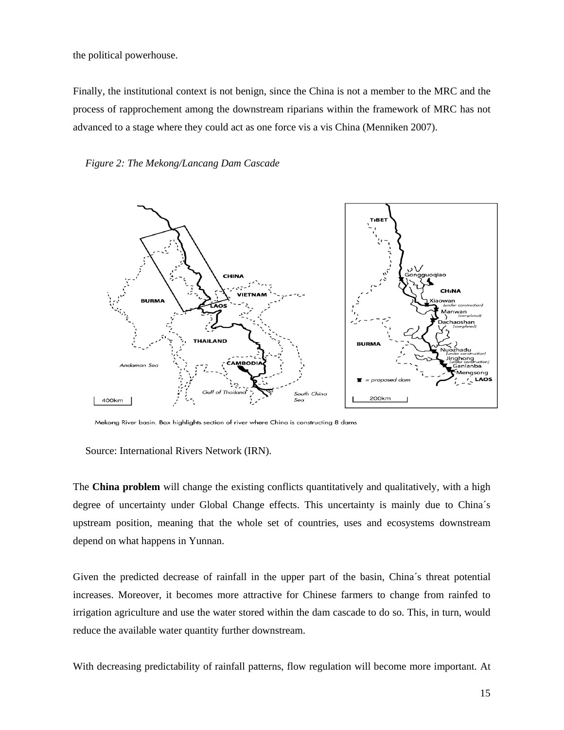the political powerhouse.

Finally, the institutional context is not benign, since the China is not a member to the MRC and the process of rapprochement among the downstream riparians within the framework of MRC has not advanced to a stage where they could act as one force vis a vis China (Menniken 2007).





Mekong River basin. Box highlights section of river where China is constructing 8 dams

Source: International Rivers Network (IRN).

The **China problem** will change the existing conflicts quantitatively and qualitatively, with a high degree of uncertainty under Global Change effects. This uncertainty is mainly due to China´s upstream position, meaning that the whole set of countries, uses and ecosystems downstream depend on what happens in Yunnan.

Given the predicted decrease of rainfall in the upper part of the basin, China´s threat potential increases. Moreover, it becomes more attractive for Chinese farmers to change from rainfed to irrigation agriculture and use the water stored within the dam cascade to do so. This, in turn, would reduce the available water quantity further downstream.

With decreasing predictability of rainfall patterns, flow regulation will become more important. At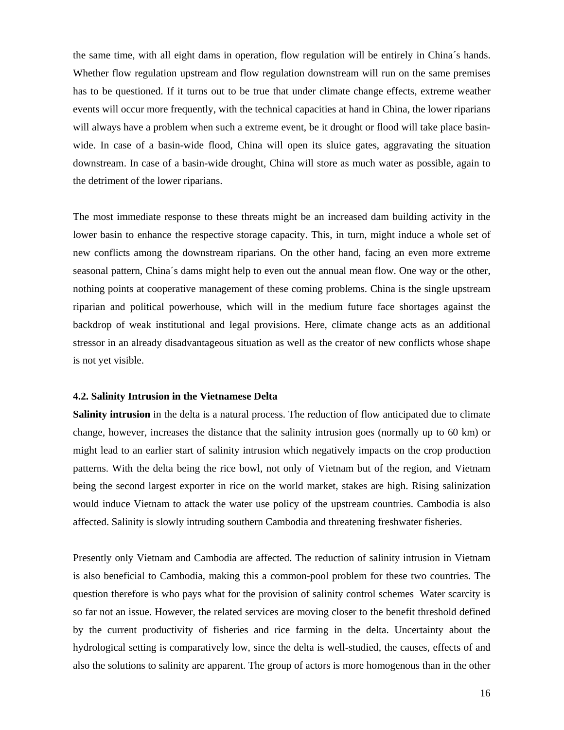the same time, with all eight dams in operation, flow regulation will be entirely in China´s hands. Whether flow regulation upstream and flow regulation downstream will run on the same premises has to be questioned. If it turns out to be true that under climate change effects, extreme weather events will occur more frequently, with the technical capacities at hand in China, the lower riparians will always have a problem when such a extreme event, be it drought or flood will take place basinwide. In case of a basin-wide flood, China will open its sluice gates, aggravating the situation downstream. In case of a basin-wide drought, China will store as much water as possible, again to the detriment of the lower riparians.

The most immediate response to these threats might be an increased dam building activity in the lower basin to enhance the respective storage capacity. This, in turn, might induce a whole set of new conflicts among the downstream riparians. On the other hand, facing an even more extreme seasonal pattern, China´s dams might help to even out the annual mean flow. One way or the other, nothing points at cooperative management of these coming problems. China is the single upstream riparian and political powerhouse, which will in the medium future face shortages against the backdrop of weak institutional and legal provisions. Here, climate change acts as an additional stressor in an already disadvantageous situation as well as the creator of new conflicts whose shape is not yet visible.

#### **4.2. Salinity Intrusion in the Vietnamese Delta**

**Salinity intrusion** in the delta is a natural process. The reduction of flow anticipated due to climate change, however, increases the distance that the salinity intrusion goes (normally up to 60 km) or might lead to an earlier start of salinity intrusion which negatively impacts on the crop production patterns. With the delta being the rice bowl, not only of Vietnam but of the region, and Vietnam being the second largest exporter in rice on the world market, stakes are high. Rising salinization would induce Vietnam to attack the water use policy of the upstream countries. Cambodia is also affected. Salinity is slowly intruding southern Cambodia and threatening freshwater fisheries.

Presently only Vietnam and Cambodia are affected. The reduction of salinity intrusion in Vietnam is also beneficial to Cambodia, making this a common-pool problem for these two countries. The question therefore is who pays what for the provision of salinity control schemes Water scarcity is so far not an issue. However, the related services are moving closer to the benefit threshold defined by the current productivity of fisheries and rice farming in the delta. Uncertainty about the hydrological setting is comparatively low, since the delta is well-studied, the causes, effects of and also the solutions to salinity are apparent. The group of actors is more homogenous than in the other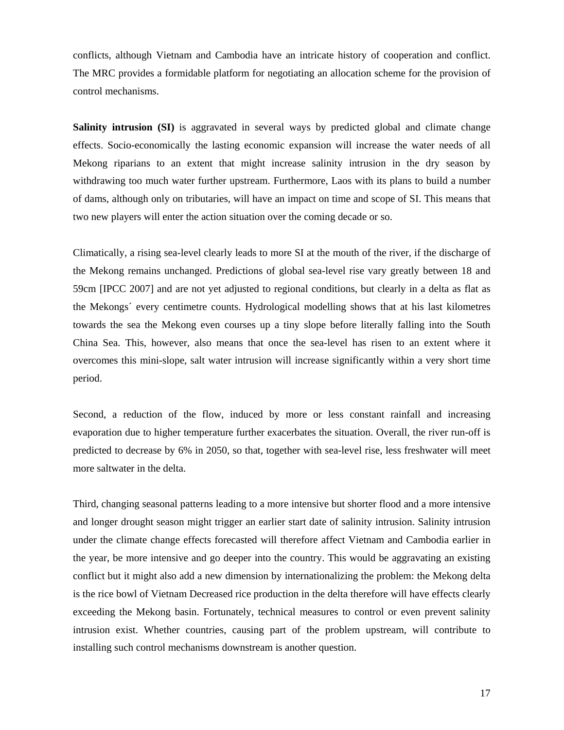conflicts, although Vietnam and Cambodia have an intricate history of cooperation and conflict. The MRC provides a formidable platform for negotiating an allocation scheme for the provision of control mechanisms.

**Salinity intrusion (SI)** is aggravated in several ways by predicted global and climate change effects. Socio-economically the lasting economic expansion will increase the water needs of all Mekong riparians to an extent that might increase salinity intrusion in the dry season by withdrawing too much water further upstream. Furthermore, Laos with its plans to build a number of dams, although only on tributaries, will have an impact on time and scope of SI. This means that two new players will enter the action situation over the coming decade or so.

Climatically, a rising sea-level clearly leads to more SI at the mouth of the river, if the discharge of the Mekong remains unchanged. Predictions of global sea-level rise vary greatly between 18 and 59cm [IPCC 2007] and are not yet adjusted to regional conditions, but clearly in a delta as flat as the Mekongs´ every centimetre counts. Hydrological modelling shows that at his last kilometres towards the sea the Mekong even courses up a tiny slope before literally falling into the South China Sea. This, however, also means that once the sea-level has risen to an extent where it overcomes this mini-slope, salt water intrusion will increase significantly within a very short time period.

Second, a reduction of the flow, induced by more or less constant rainfall and increasing evaporation due to higher temperature further exacerbates the situation. Overall, the river run-off is predicted to decrease by 6% in 2050, so that, together with sea-level rise, less freshwater will meet more saltwater in the delta.

Third, changing seasonal patterns leading to a more intensive but shorter flood and a more intensive and longer drought season might trigger an earlier start date of salinity intrusion. Salinity intrusion under the climate change effects forecasted will therefore affect Vietnam and Cambodia earlier in the year, be more intensive and go deeper into the country. This would be aggravating an existing conflict but it might also add a new dimension by internationalizing the problem: the Mekong delta is the rice bowl of Vietnam Decreased rice production in the delta therefore will have effects clearly exceeding the Mekong basin. Fortunately, technical measures to control or even prevent salinity intrusion exist. Whether countries, causing part of the problem upstream, will contribute to installing such control mechanisms downstream is another question.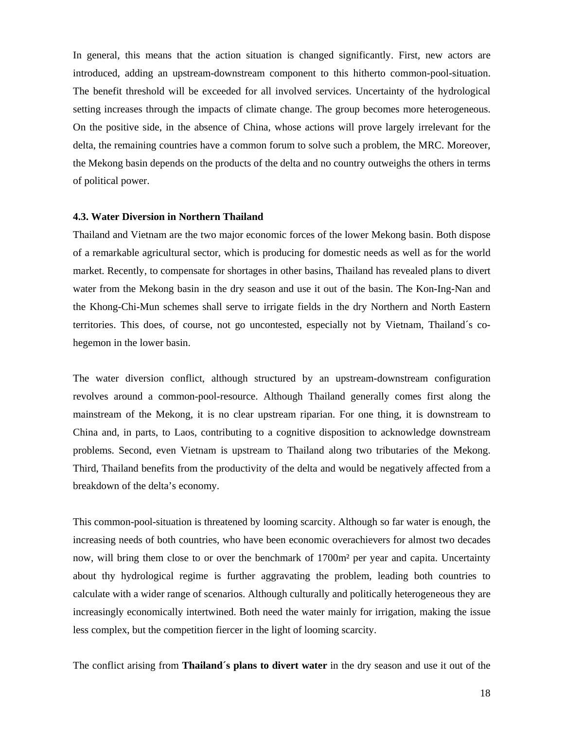In general, this means that the action situation is changed significantly. First, new actors are introduced, adding an upstream-downstream component to this hitherto common-pool-situation. The benefit threshold will be exceeded for all involved services. Uncertainty of the hydrological setting increases through the impacts of climate change. The group becomes more heterogeneous. On the positive side, in the absence of China, whose actions will prove largely irrelevant for the delta, the remaining countries have a common forum to solve such a problem, the MRC. Moreover, the Mekong basin depends on the products of the delta and no country outweighs the others in terms of political power.

#### **4.3. Water Diversion in Northern Thailand**

Thailand and Vietnam are the two major economic forces of the lower Mekong basin. Both dispose of a remarkable agricultural sector, which is producing for domestic needs as well as for the world market. Recently, to compensate for shortages in other basins, Thailand has revealed plans to divert water from the Mekong basin in the dry season and use it out of the basin. The Kon-Ing-Nan and the Khong-Chi-Mun schemes shall serve to irrigate fields in the dry Northern and North Eastern territories. This does, of course, not go uncontested, especially not by Vietnam, Thailand´s cohegemon in the lower basin.

The water diversion conflict, although structured by an upstream-downstream configuration revolves around a common-pool-resource. Although Thailand generally comes first along the mainstream of the Mekong, it is no clear upstream riparian. For one thing, it is downstream to China and, in parts, to Laos, contributing to a cognitive disposition to acknowledge downstream problems. Second, even Vietnam is upstream to Thailand along two tributaries of the Mekong. Third, Thailand benefits from the productivity of the delta and would be negatively affected from a breakdown of the delta's economy.

This common-pool-situation is threatened by looming scarcity. Although so far water is enough, the increasing needs of both countries, who have been economic overachievers for almost two decades now, will bring them close to or over the benchmark of 1700m<sup>2</sup> per year and capita. Uncertainty about thy hydrological regime is further aggravating the problem, leading both countries to calculate with a wider range of scenarios. Although culturally and politically heterogeneous they are increasingly economically intertwined. Both need the water mainly for irrigation, making the issue less complex, but the competition fiercer in the light of looming scarcity.

The conflict arising from **Thailand´s plans to divert water** in the dry season and use it out of the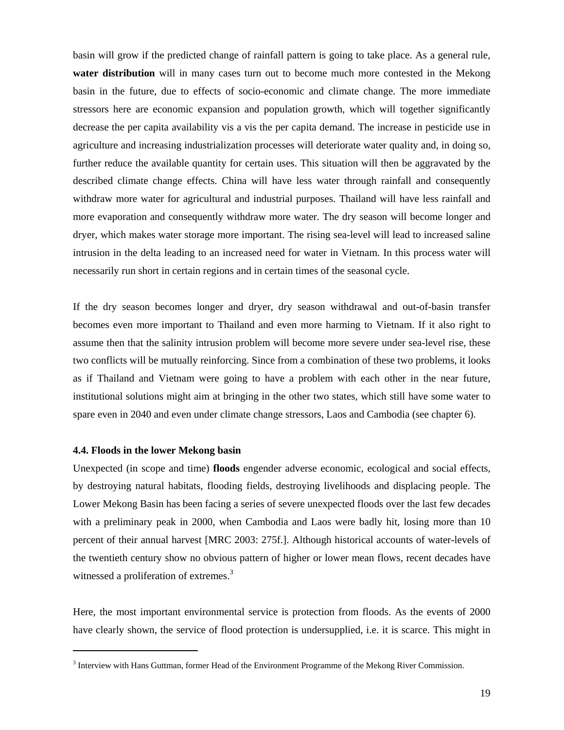basin will grow if the predicted change of rainfall pattern is going to take place. As a general rule, **water distribution** will in many cases turn out to become much more contested in the Mekong basin in the future, due to effects of socio-economic and climate change. The more immediate stressors here are economic expansion and population growth, which will together significantly decrease the per capita availability vis a vis the per capita demand. The increase in pesticide use in agriculture and increasing industrialization processes will deteriorate water quality and, in doing so, further reduce the available quantity for certain uses. This situation will then be aggravated by the described climate change effects. China will have less water through rainfall and consequently withdraw more water for agricultural and industrial purposes. Thailand will have less rainfall and more evaporation and consequently withdraw more water. The dry season will become longer and dryer, which makes water storage more important. The rising sea-level will lead to increased saline intrusion in the delta leading to an increased need for water in Vietnam. In this process water will necessarily run short in certain regions and in certain times of the seasonal cycle.

If the dry season becomes longer and dryer, dry season withdrawal and out-of-basin transfer becomes even more important to Thailand and even more harming to Vietnam. If it also right to assume then that the salinity intrusion problem will become more severe under sea-level rise, these two conflicts will be mutually reinforcing. Since from a combination of these two problems, it looks as if Thailand and Vietnam were going to have a problem with each other in the near future, institutional solutions might aim at bringing in the other two states, which still have some water to spare even in 2040 and even under climate change stressors, Laos and Cambodia (see chapter 6).

#### **4.4. Floods in the lower Mekong basin**

 $\overline{a}$ 

Unexpected (in scope and time) **floods** engender adverse economic, ecological and social effects, by destroying natural habitats, flooding fields, destroying livelihoods and displacing people. The Lower Mekong Basin has been facing a series of severe unexpected floods over the last few decades with a preliminary peak in 2000, when Cambodia and Laos were badly hit, losing more than 10 percent of their annual harvest [MRC 2003: 275f.]. Although historical accounts of water-levels of the twentieth century show no obvious pattern of higher or lower mean flows, recent decades have witnessed a proliferation of extremes.<sup>3</sup>

Here, the most important environmental service is protection from floods. As the events of 2000 have clearly shown, the service of flood protection is undersupplied, i.e. it is scarce. This might in

 $3$  Interview with Hans Guttman, former Head of the Environment Programme of the Mekong River Commission.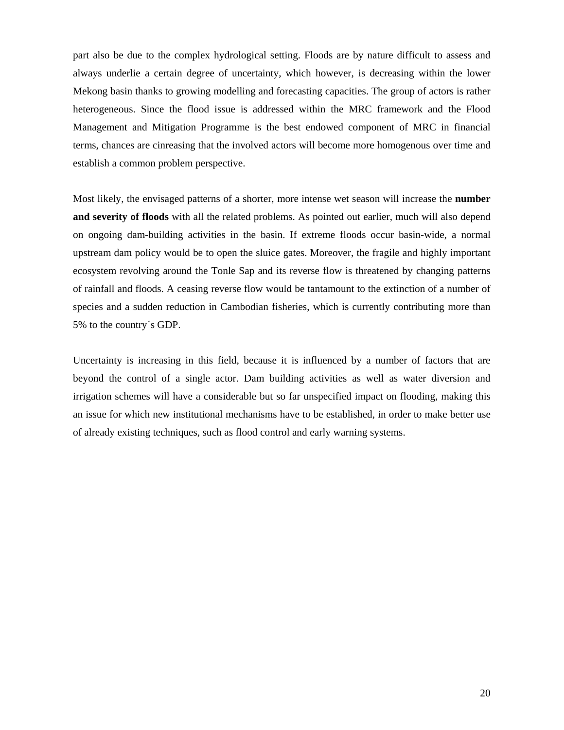part also be due to the complex hydrological setting. Floods are by nature difficult to assess and always underlie a certain degree of uncertainty, which however, is decreasing within the lower Mekong basin thanks to growing modelling and forecasting capacities. The group of actors is rather heterogeneous. Since the flood issue is addressed within the MRC framework and the Flood Management and Mitigation Programme is the best endowed component of MRC in financial terms, chances are cinreasing that the involved actors will become more homogenous over time and establish a common problem perspective.

Most likely, the envisaged patterns of a shorter, more intense wet season will increase the **number and severity of floods** with all the related problems. As pointed out earlier, much will also depend on ongoing dam-building activities in the basin. If extreme floods occur basin-wide, a normal upstream dam policy would be to open the sluice gates. Moreover, the fragile and highly important ecosystem revolving around the Tonle Sap and its reverse flow is threatened by changing patterns of rainfall and floods. A ceasing reverse flow would be tantamount to the extinction of a number of species and a sudden reduction in Cambodian fisheries, which is currently contributing more than 5% to the country´s GDP.

Uncertainty is increasing in this field, because it is influenced by a number of factors that are beyond the control of a single actor. Dam building activities as well as water diversion and irrigation schemes will have a considerable but so far unspecified impact on flooding, making this an issue for which new institutional mechanisms have to be established, in order to make better use of already existing techniques, such as flood control and early warning systems.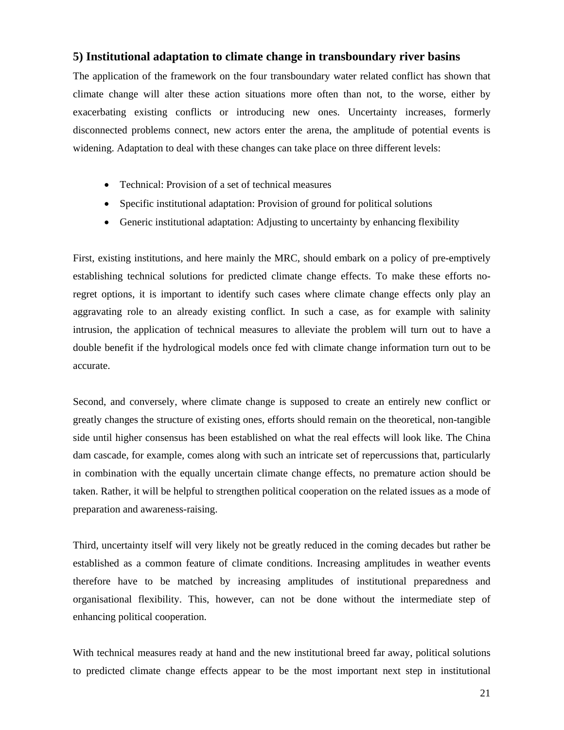## **5) Institutional adaptation to climate change in transboundary river basins**

The application of the framework on the four transboundary water related conflict has shown that climate change will alter these action situations more often than not, to the worse, either by exacerbating existing conflicts or introducing new ones. Uncertainty increases, formerly disconnected problems connect, new actors enter the arena, the amplitude of potential events is widening. Adaptation to deal with these changes can take place on three different levels:

- Technical: Provision of a set of technical measures
- Specific institutional adaptation: Provision of ground for political solutions
- Generic institutional adaptation: Adjusting to uncertainty by enhancing flexibility

First, existing institutions, and here mainly the MRC, should embark on a policy of pre-emptively establishing technical solutions for predicted climate change effects. To make these efforts noregret options, it is important to identify such cases where climate change effects only play an aggravating role to an already existing conflict. In such a case, as for example with salinity intrusion, the application of technical measures to alleviate the problem will turn out to have a double benefit if the hydrological models once fed with climate change information turn out to be accurate.

Second, and conversely, where climate change is supposed to create an entirely new conflict or greatly changes the structure of existing ones, efforts should remain on the theoretical, non-tangible side until higher consensus has been established on what the real effects will look like. The China dam cascade, for example, comes along with such an intricate set of repercussions that, particularly in combination with the equally uncertain climate change effects, no premature action should be taken. Rather, it will be helpful to strengthen political cooperation on the related issues as a mode of preparation and awareness-raising.

Third, uncertainty itself will very likely not be greatly reduced in the coming decades but rather be established as a common feature of climate conditions. Increasing amplitudes in weather events therefore have to be matched by increasing amplitudes of institutional preparedness and organisational flexibility. This, however, can not be done without the intermediate step of enhancing political cooperation.

With technical measures ready at hand and the new institutional breed far away, political solutions to predicted climate change effects appear to be the most important next step in institutional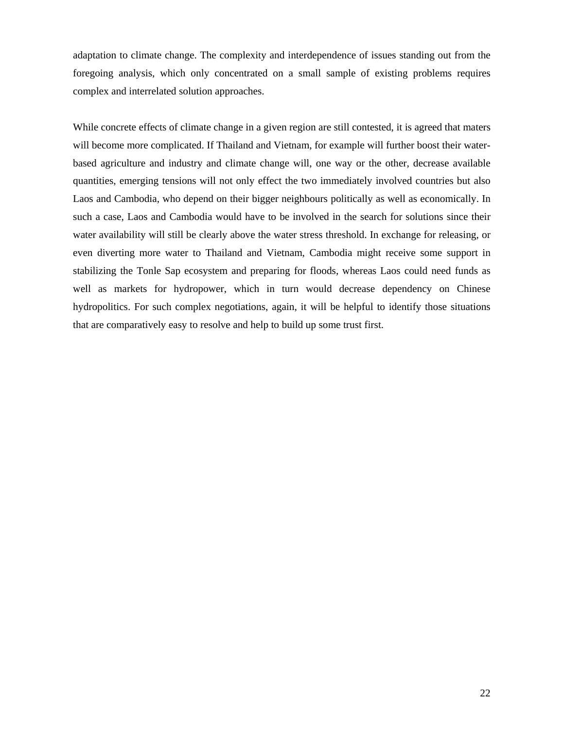adaptation to climate change. The complexity and interdependence of issues standing out from the foregoing analysis, which only concentrated on a small sample of existing problems requires complex and interrelated solution approaches.

While concrete effects of climate change in a given region are still contested, it is agreed that maters will become more complicated. If Thailand and Vietnam, for example will further boost their waterbased agriculture and industry and climate change will, one way or the other, decrease available quantities, emerging tensions will not only effect the two immediately involved countries but also Laos and Cambodia, who depend on their bigger neighbours politically as well as economically. In such a case, Laos and Cambodia would have to be involved in the search for solutions since their water availability will still be clearly above the water stress threshold. In exchange for releasing, or even diverting more water to Thailand and Vietnam, Cambodia might receive some support in stabilizing the Tonle Sap ecosystem and preparing for floods, whereas Laos could need funds as well as markets for hydropower, which in turn would decrease dependency on Chinese hydropolitics. For such complex negotiations, again, it will be helpful to identify those situations that are comparatively easy to resolve and help to build up some trust first.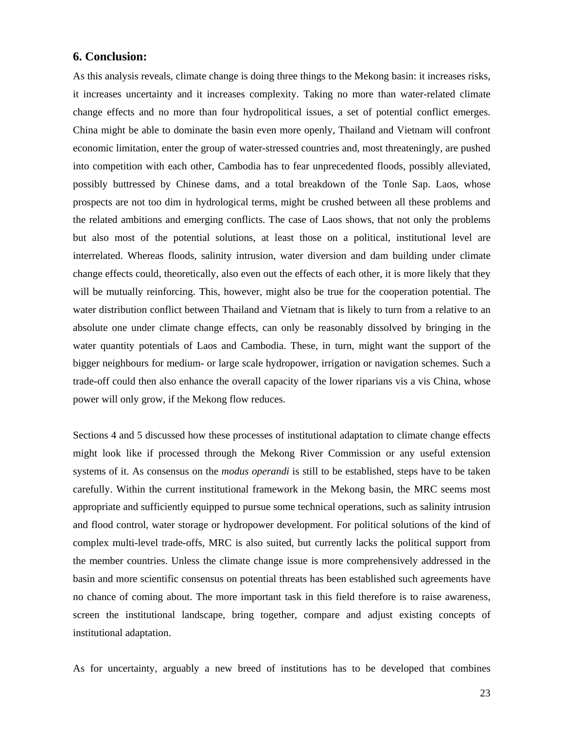### **6. Conclusion:**

As this analysis reveals, climate change is doing three things to the Mekong basin: it increases risks, it increases uncertainty and it increases complexity. Taking no more than water-related climate change effects and no more than four hydropolitical issues, a set of potential conflict emerges. China might be able to dominate the basin even more openly, Thailand and Vietnam will confront economic limitation, enter the group of water-stressed countries and, most threateningly, are pushed into competition with each other, Cambodia has to fear unprecedented floods, possibly alleviated, possibly buttressed by Chinese dams, and a total breakdown of the Tonle Sap. Laos, whose prospects are not too dim in hydrological terms, might be crushed between all these problems and the related ambitions and emerging conflicts. The case of Laos shows, that not only the problems but also most of the potential solutions, at least those on a political, institutional level are interrelated. Whereas floods, salinity intrusion, water diversion and dam building under climate change effects could, theoretically, also even out the effects of each other, it is more likely that they will be mutually reinforcing. This, however, might also be true for the cooperation potential. The water distribution conflict between Thailand and Vietnam that is likely to turn from a relative to an absolute one under climate change effects, can only be reasonably dissolved by bringing in the water quantity potentials of Laos and Cambodia. These, in turn, might want the support of the bigger neighbours for medium- or large scale hydropower, irrigation or navigation schemes. Such a trade-off could then also enhance the overall capacity of the lower riparians vis a vis China, whose power will only grow, if the Mekong flow reduces.

Sections 4 and 5 discussed how these processes of institutional adaptation to climate change effects might look like if processed through the Mekong River Commission or any useful extension systems of it. As consensus on the *modus operandi* is still to be established, steps have to be taken carefully. Within the current institutional framework in the Mekong basin, the MRC seems most appropriate and sufficiently equipped to pursue some technical operations, such as salinity intrusion and flood control, water storage or hydropower development. For political solutions of the kind of complex multi-level trade-offs, MRC is also suited, but currently lacks the political support from the member countries. Unless the climate change issue is more comprehensively addressed in the basin and more scientific consensus on potential threats has been established such agreements have no chance of coming about. The more important task in this field therefore is to raise awareness, screen the institutional landscape, bring together, compare and adjust existing concepts of institutional adaptation.

As for uncertainty, arguably a new breed of institutions has to be developed that combines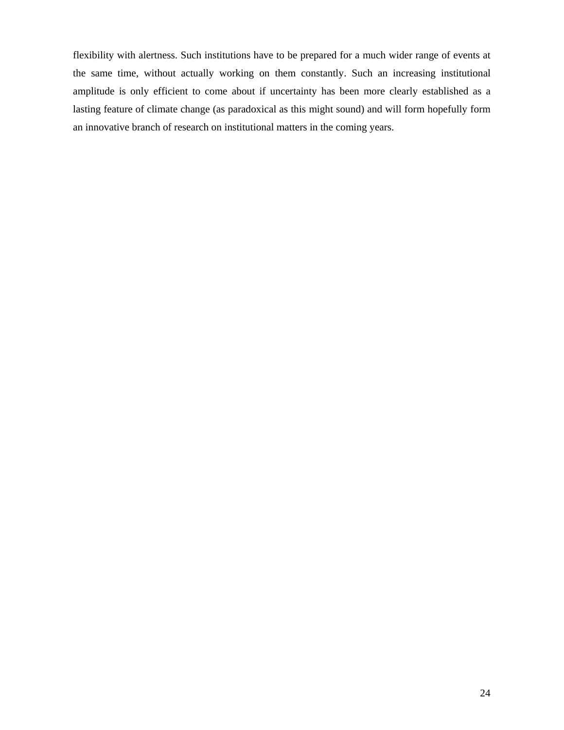flexibility with alertness. Such institutions have to be prepared for a much wider range of events at the same time, without actually working on them constantly. Such an increasing institutional amplitude is only efficient to come about if uncertainty has been more clearly established as a lasting feature of climate change (as paradoxical as this might sound) and will form hopefully form an innovative branch of research on institutional matters in the coming years.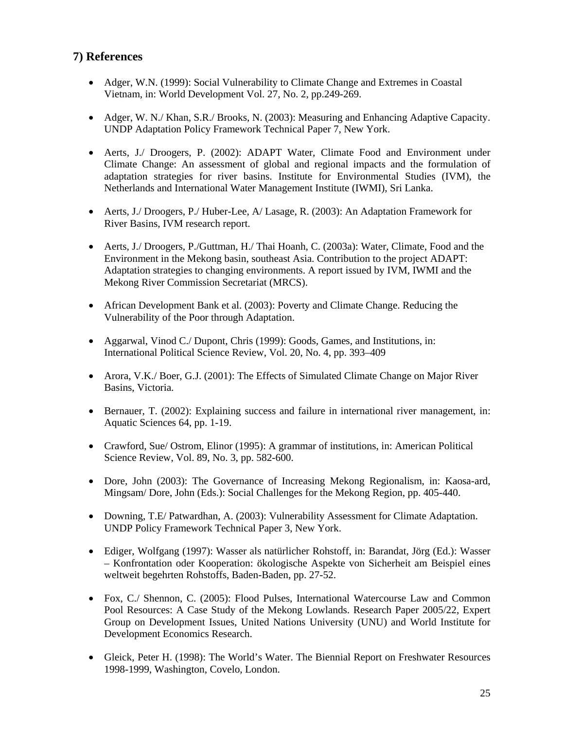## **7) References**

- Adger, W.N. (1999): Social Vulnerability to Climate Change and Extremes in Coastal Vietnam, in: World Development Vol. 27, No. 2, pp.249-269.
- Adger, W. N./ Khan, S.R./ Brooks, N. (2003): Measuring and Enhancing Adaptive Capacity. UNDP Adaptation Policy Framework Technical Paper 7, New York.
- Aerts, J./ Droogers, P. (2002): ADAPT Water, Climate Food and Environment under Climate Change: An assessment of global and regional impacts and the formulation of adaptation strategies for river basins. Institute for Environmental Studies (IVM), the Netherlands and International Water Management Institute (IWMI), Sri Lanka.
- Aerts, J./ Droogers, P./ Huber-Lee, A/ Lasage, R. (2003): An Adaptation Framework for River Basins, IVM research report.
- Aerts, J./ Droogers, P./Guttman, H./ Thai Hoanh, C. (2003a): Water, Climate, Food and the Environment in the Mekong basin, southeast Asia. Contribution to the project ADAPT: Adaptation strategies to changing environments. A report issued by IVM, IWMI and the Mekong River Commission Secretariat (MRCS).
- African Development Bank et al. (2003): Poverty and Climate Change. Reducing the Vulnerability of the Poor through Adaptation.
- Aggarwal, Vinod C./ Dupont, Chris (1999): Goods, Games, and Institutions, in: International Political Science Review, Vol. 20, No. 4, pp. 393–409
- Arora, V.K./ Boer, G.J. (2001): The Effects of Simulated Climate Change on Major River Basins, Victoria.
- Bernauer, T. (2002): Explaining success and failure in international river management, in: Aquatic Sciences 64, pp. 1-19.
- Crawford, Sue/ Ostrom, Elinor (1995): A grammar of institutions, in: American Political Science Review, Vol. 89, No. 3, pp. 582-600.
- Dore, John (2003): The Governance of Increasing Mekong Regionalism, in: Kaosa-ard, Mingsam/ Dore, John (Eds.): Social Challenges for the Mekong Region, pp. 405-440.
- Downing, T.E/ Patwardhan, A. (2003): Vulnerability Assessment for Climate Adaptation. UNDP Policy Framework Technical Paper 3, New York.
- Ediger, Wolfgang (1997): Wasser als natürlicher Rohstoff, in: Barandat, Jörg (Ed.): Wasser – Konfrontation oder Kooperation: ökologische Aspekte von Sicherheit am Beispiel eines weltweit begehrten Rohstoffs, Baden-Baden, pp. 27-52.
- Fox, C./ Shennon, C. (2005): Flood Pulses, International Watercourse Law and Common Pool Resources: A Case Study of the Mekong Lowlands. Research Paper 2005/22, Expert Group on Development Issues, United Nations University (UNU) and World Institute for Development Economics Research.
- Gleick, Peter H. (1998): The World's Water. The Biennial Report on Freshwater Resources 1998-1999, Washington, Covelo, London.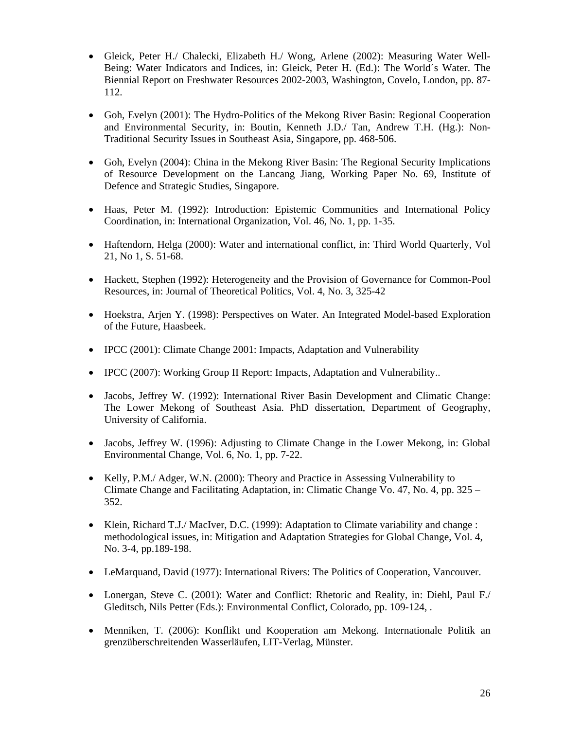- Gleick, Peter H./ Chalecki, Elizabeth H./ Wong, Arlene (2002): Measuring Water Well-Being: Water Indicators and Indices, in: Gleick, Peter H. (Ed.): The World´s Water. The Biennial Report on Freshwater Resources 2002-2003, Washington, Covelo, London, pp. 87- 112.
- Goh, Evelyn (2001): The Hydro-Politics of the Mekong River Basin: Regional Cooperation and Environmental Security, in: Boutin, Kenneth J.D./ Tan, Andrew T.H. (Hg.): Non-Traditional Security Issues in Southeast Asia, Singapore, pp. 468-506.
- Goh, Evelyn (2004): China in the Mekong River Basin: The Regional Security Implications of Resource Development on the Lancang Jiang, Working Paper No. 69, Institute of Defence and Strategic Studies, Singapore.
- Haas, Peter M. (1992): Introduction: Epistemic Communities and International Policy Coordination, in: International Organization, Vol. 46, No. 1, pp. 1-35.
- Haftendorn, Helga (2000): Water and international conflict, in: Third World Quarterly, Vol 21, No 1, S. 51-68.
- Hackett, Stephen (1992): Heterogeneity and the Provision of Governance for Common-Pool Resources, in: Journal of Theoretical Politics, Vol. 4, No. 3, 325-42
- Hoekstra, Arjen Y. (1998): Perspectives on Water. An Integrated Model-based Exploration of the Future, Haasbeek.
- IPCC (2001): Climate Change 2001: Impacts, Adaptation and Vulnerability
- IPCC (2007): Working Group II Report: Impacts, Adaptation and Vulnerability..
- Jacobs, Jeffrey W. (1992): International River Basin Development and Climatic Change: The Lower Mekong of Southeast Asia. PhD dissertation, Department of Geography, University of California.
- Jacobs, Jeffrey W. (1996): Adjusting to Climate Change in the Lower Mekong, in: Global Environmental Change, Vol. 6, No. 1, pp. 7-22.
- Kelly, P.M./ Adger, W.N. (2000): Theory and Practice in Assessing Vulnerability to Climate Change and Facilitating Adaptation, in: Climatic Change Vo. 47, No. 4, pp. 325 – 352.
- Klein, Richard T.J./ MacIver, D.C. (1999): Adaptation to Climate variability and change : methodological issues, in: Mitigation and Adaptation Strategies for Global Change, Vol. 4, No. 3-4, pp.189-198.
- LeMarquand, David (1977): International Rivers: The Politics of Cooperation, Vancouver.
- Lonergan, Steve C. (2001): Water and Conflict: Rhetoric and Reality, in: Diehl, Paul F. Gleditsch, Nils Petter (Eds.): Environmental Conflict, Colorado, pp. 109-124, .
- Menniken, T. (2006): Konflikt und Kooperation am Mekong. Internationale Politik an grenzüberschreitenden Wasserläufen, LIT-Verlag, Münster.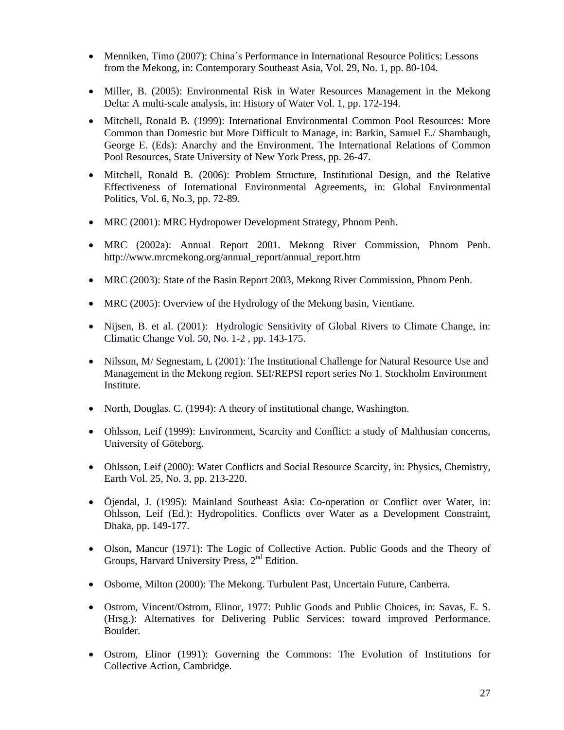- Menniken, Timo (2007): China's Performance in International Resource Politics: Lessons from the Mekong, in: Contemporary Southeast Asia, Vol. 29, No. 1, pp. 80-104.
- Miller, B. (2005): Environmental Risk in Water Resources Management in the Mekong Delta: A multi-scale analysis, in: History of Water Vol. 1, pp. 172-194.
- Mitchell, Ronald B. (1999): International Environmental Common Pool Resources: More Common than Domestic but More Difficult to Manage, in: Barkin, Samuel E./ Shambaugh, George E. (Eds): Anarchy and the Environment. The International Relations of Common Pool Resources, State University of New York Press, pp. 26-47.
- Mitchell, Ronald B. (2006): Problem Structure, Institutional Design, and the Relative Effectiveness of International Environmental Agreements, in: Global Environmental Politics, Vol. 6, No.3, pp. 72-89.
- MRC (2001): MRC Hydropower Development Strategy, Phnom Penh.
- MRC (2002a): Annual Report 2001. Mekong River Commission, Phnom Penh. http://www.mrcmekong.org/annual\_report/annual\_report.htm
- MRC (2003): State of the Basin Report 2003, Mekong River Commission, Phnom Penh.
- MRC (2005): Overview of the Hydrology of the Mekong basin, Vientiane.
- Nijsen, B. et al. (2001): Hydrologic Sensitivity of Global Rivers to Climate Change, in: Climatic Change Vol. 50, No. 1-2 , pp. 143-175.
- Nilsson, M/ Segnestam, L (2001): The Institutional Challenge for Natural Resource Use and Management in the Mekong region. SEI/REPSI report series No 1. Stockholm Environment Institute.
- North, Douglas. C. (1994): A theory of institutional change, Washington.
- Ohlsson, Leif (1999): Environment, Scarcity and Conflict: a study of Malthusian concerns, University of Göteborg.
- Ohlsson, Leif (2000): Water Conflicts and Social Resource Scarcity, in: Physics, Chemistry, Earth Vol. 25, No. 3, pp. 213-220.
- Öjendal, J. (1995): Mainland Southeast Asia: Co-operation or Conflict over Water, in: Ohlsson, Leif (Ed.): Hydropolitics. Conflicts over Water as a Development Constraint, Dhaka, pp. 149-177.
- Olson, Mancur (1971): The Logic of Collective Action. Public Goods and the Theory of Groups, Harvard University Press, 2<sup>nd</sup> Edition.
- Osborne, Milton (2000): The Mekong. Turbulent Past, Uncertain Future, Canberra.
- Ostrom, Vincent/Ostrom, Elinor, 1977: Public Goods and Public Choices, in: Savas, E. S. (Hrsg.): Alternatives for Delivering Public Services: toward improved Performance. Boulder.
- Ostrom, Elinor (1991): Governing the Commons: The Evolution of Institutions for Collective Action, Cambridge.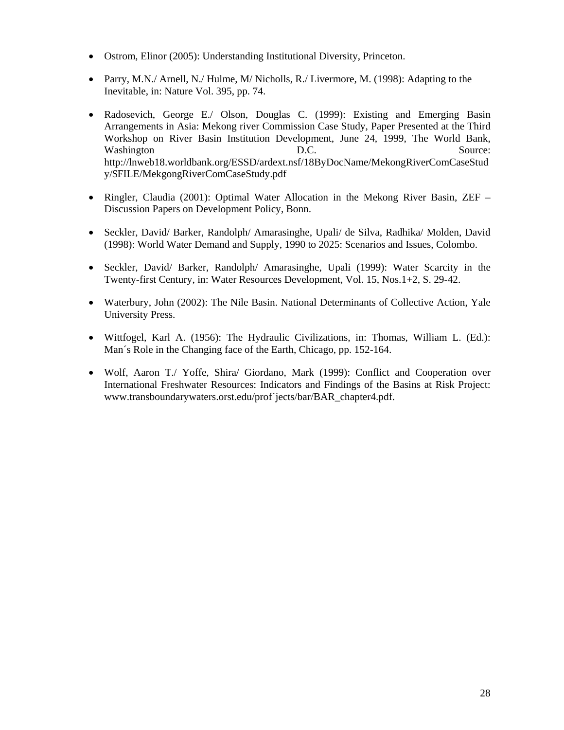- Ostrom, Elinor (2005): Understanding Institutional Diversity, Princeton.
- Parry, M.N./ Arnell, N./ Hulme, M/ Nicholls, R./ Livermore, M. (1998): Adapting to the Inevitable, in: Nature Vol. 395, pp. 74.
- Radosevich, George E./ Olson, Douglas C. (1999): Existing and Emerging Basin Arrangements in Asia: Mekong river Commission Case Study, Paper Presented at the Third Workshop on River Basin Institution Development, June 24, 1999, The World Bank, Washington D.C. Source: http://lnweb18.worldbank.org/ESSD/ardext.nsf/18ByDocName/MekongRiverComCaseStud y/\$FILE/MekgongRiverComCaseStudy.pdf
- Ringler, Claudia (2001): Optimal Water Allocation in the Mekong River Basin, ZEF Discussion Papers on Development Policy, Bonn.
- Seckler, David/ Barker, Randolph/ Amarasinghe, Upali/ de Silva, Radhika/ Molden, David (1998): World Water Demand and Supply, 1990 to 2025: Scenarios and Issues, Colombo.
- Seckler, David/ Barker, Randolph/ Amarasinghe, Upali (1999): Water Scarcity in the Twenty-first Century, in: Water Resources Development, Vol. 15, Nos.1+2, S. 29-42.
- Waterbury, John (2002): The Nile Basin. National Determinants of Collective Action, Yale University Press.
- Wittfogel, Karl A. (1956): The Hydraulic Civilizations, in: Thomas, William L. (Ed.): Man´s Role in the Changing face of the Earth, Chicago, pp. 152-164.
- Wolf, Aaron T./ Yoffe, Shira/ Giordano, Mark (1999): Conflict and Cooperation over International Freshwater Resources: Indicators and Findings of the Basins at Risk Project: www.transboundarywaters.orst.edu/prof´jects/bar/BAR\_chapter4.pdf.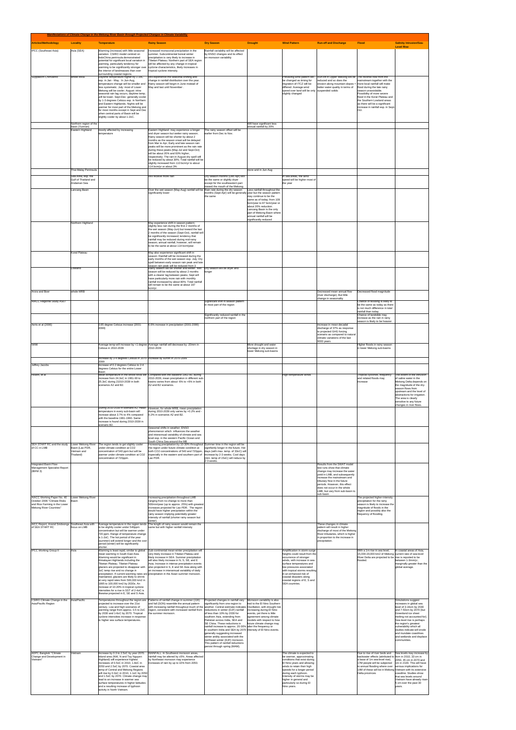| Manifestations of Climate Change in the Mekong River Basin through Projected Changes in Climate Variability |                                                              |                                                                                                                                 |                                                                                                                                                                                            |                                                                                                                                               |                                                                                     |                                                                                        |                                                                                                                                                    |                                                                                                                         |                                                                                     |
|-------------------------------------------------------------------------------------------------------------|--------------------------------------------------------------|---------------------------------------------------------------------------------------------------------------------------------|--------------------------------------------------------------------------------------------------------------------------------------------------------------------------------------------|-----------------------------------------------------------------------------------------------------------------------------------------------|-------------------------------------------------------------------------------------|----------------------------------------------------------------------------------------|----------------------------------------------------------------------------------------------------------------------------------------------------|-------------------------------------------------------------------------------------------------------------------------|-------------------------------------------------------------------------------------|
| <b>Articles/Methodology</b>                                                                                 | <b>Locality</b>                                              | <b>Temperature</b>                                                                                                              | <b>Rainy Season</b>                                                                                                                                                                        | <b>Dry Season</b>                                                                                                                             | <b>Drought</b>                                                                      | <b>Wind Pattern</b>                                                                    | <b>Run-off and Discharge</b>                                                                                                                       | <b>Flood</b>                                                                                                            | <b>Salinity Intrusion/Sea-</b><br><b>Level Rise</b>                                 |
| <b>IPCC</b> (Southeast Asia)                                                                                | Asia (SEA)                                                   | Warming (increase) with little seasonal<br>variation. CSIRO model centred on<br>IndoChina peninsula demonstrated                | Increased monsoonal precipitation in the<br>summer. Subcontinental boreal winter<br>precipitation is very likely to increase in                                                            | Rainfall variability will be affected<br>by ENSO changes and its effect<br>on monsoon variability                                             |                                                                                     |                                                                                        |                                                                                                                                                    |                                                                                                                         |                                                                                     |
|                                                                                                             |                                                              | potential for significant local variation in<br>warming, particularly tendency for<br>warming to be significantly stronger over | Tibetan Plateau. Northern part of SEA region<br>will be affected by any change in tropical<br>cyclone characteristics, likely increases in                                                 |                                                                                                                                               |                                                                                     |                                                                                        |                                                                                                                                                    |                                                                                                                         |                                                                                     |
|                                                                                                             |                                                              | the interior of landmasses than over<br>surrounding coastal regions.                                                            | tropical cyclone intensity.                                                                                                                                                                |                                                                                                                                               |                                                                                     |                                                                                        |                                                                                                                                                    |                                                                                                                         |                                                                                     |
| Suppakorn Chinvanno                                                                                         | whole MRB                                                    | Daytime temperature higher by 1-3oC<br>esp. in Jan - May. In Jun-Aug,<br>temperature change will be smaller and                 | Will experience the seasonal shifting and<br>change in rainfall distribution over the year.<br>Rainy season will begin in June instead of                                                  |                                                                                                                                               |                                                                                     | be changed as timing for<br>migration of ITCZ will be                                  | Prevailing wind pattern will Run-off in Upper Mekong will be The reverse flow from the<br>reduced and so does the<br>erosion along mountain slopes | nainstream together with the<br>more local rainfall will make                                                           |                                                                                     |
|                                                                                                             |                                                              | less systematic. July: most of Lower<br>Mekong will be cooler. August: intra-<br>seasonal rain lag occurs, daytime temp.        | May and last until November.                                                                                                                                                               |                                                                                                                                               |                                                                                     | differed. Average wind<br>speed over land will be only<br>slightly changed             | better water quality in terms of<br>suspended solids                                                                                               | flood during the late rainy<br>season unavoidable.<br>Possibility of more severe                                        |                                                                                     |
|                                                                                                             |                                                              | will be lower. Sept-Dec: generally cooler<br>by 1-3 degrees Celsius esp. in Northern                                            |                                                                                                                                                                                            |                                                                                                                                               |                                                                                     |                                                                                        |                                                                                                                                                    | flood in the Korat Plateau and<br>the Southern Lowland areas                                                            |                                                                                     |
|                                                                                                             |                                                              | and Eastern Highlands. Nights will be<br>warmer for most part of the Mekong and<br>for most months except in Sept and Dec       |                                                                                                                                                                                            |                                                                                                                                               |                                                                                     |                                                                                        |                                                                                                                                                    | as there will be a significant<br>increase in rainfall esp. in Sept<br>Oct.                                             |                                                                                     |
|                                                                                                             |                                                              | when central parts of Basin will be<br>slightly cooler by about 1-2oC.                                                          |                                                                                                                                                                                            |                                                                                                                                               |                                                                                     |                                                                                        |                                                                                                                                                    |                                                                                                                         |                                                                                     |
|                                                                                                             | Northern region of the<br>basin (Yunnan)<br>Eastern Highland | mostly affected by increasing                                                                                                   | Eastern Highland: may experience a longer                                                                                                                                                  | The rainy season offset will be                                                                                                               | Will have significant less<br>annual rainfall by 20%                                |                                                                                        |                                                                                                                                                    |                                                                                                                         |                                                                                     |
|                                                                                                             |                                                              | emperature                                                                                                                      | and dryer season but wetter rainy season;<br>Rainy season will be shorter by about 2                                                                                                       | earlier from Dec to Nov.                                                                                                                      |                                                                                     |                                                                                        |                                                                                                                                                    |                                                                                                                         |                                                                                     |
|                                                                                                             |                                                              |                                                                                                                                 | months as the season onset will be delayed<br>from Mar to Apr; Early and late season rain<br>peaks will be more prominent as the rain rate                                                 |                                                                                                                                               |                                                                                     |                                                                                        |                                                                                                                                                    |                                                                                                                         |                                                                                     |
|                                                                                                             |                                                              |                                                                                                                                 | during these peaks (May-Jul and Sept-Oct)<br>will be about 20% and 60% higher,<br>respectively; The rain in August dry spell will                                                          |                                                                                                                                               |                                                                                     |                                                                                        |                                                                                                                                                    |                                                                                                                         |                                                                                     |
|                                                                                                             |                                                              |                                                                                                                                 | be reduced by about 30%; Total rainfall will be<br>slightly increased from 110 bcm/yr to about<br>114 bcm/yr or about 3%                                                                   |                                                                                                                                               |                                                                                     |                                                                                        |                                                                                                                                                    |                                                                                                                         |                                                                                     |
|                                                                                                             | Thai-Malay Peninsula                                         |                                                                                                                                 |                                                                                                                                                                                            |                                                                                                                                               | more arid in Jun-Aug                                                                |                                                                                        |                                                                                                                                                    |                                                                                                                         |                                                                                     |
|                                                                                                             | Sea Area, esp. the<br>Gulf of Thailand and<br>Andaman Sea    |                                                                                                                                 | Will receive more rain                                                                                                                                                                     | Dry season months (Dec-Apr) will<br>be the same or slightly dryer<br>except for the southeastern part                                         |                                                                                     | In sea areas, the wind<br>speed will be higher most of<br>the year                     |                                                                                                                                                    |                                                                                                                         |                                                                                     |
|                                                                                                             | Lancang Basin                                                |                                                                                                                                 | Over the wet season (May-Aug) rainfall will be Rain rate during the dry season                                                                                                             | toward the mouth of the Mekong                                                                                                                | Less rainfall throughout the                                                        |                                                                                        |                                                                                                                                                    |                                                                                                                         |                                                                                     |
|                                                                                                             |                                                              |                                                                                                                                 | significantly lower                                                                                                                                                                        | months (Sept-Apr) will be generally year but the season pattern<br>the same                                                                   | may continue to be the<br>same as of today; from 109                                |                                                                                        |                                                                                                                                                    |                                                                                                                         |                                                                                     |
|                                                                                                             |                                                              |                                                                                                                                 |                                                                                                                                                                                            |                                                                                                                                               | bcm/year to 87 bcm/year or<br>about 20% reduction.<br>Lancang Basin is the only     |                                                                                        |                                                                                                                                                    |                                                                                                                         |                                                                                     |
|                                                                                                             |                                                              |                                                                                                                                 |                                                                                                                                                                                            |                                                                                                                                               | part of Mekong Basin where<br>annual rainfall will be                               |                                                                                        |                                                                                                                                                    |                                                                                                                         |                                                                                     |
|                                                                                                             | Northern Highland                                            |                                                                                                                                 | May experience shift in season pattern;<br>slightly less rain during the first 2 months of                                                                                                 |                                                                                                                                               | significantly reduced                                                               |                                                                                        |                                                                                                                                                    |                                                                                                                         |                                                                                     |
|                                                                                                             |                                                              |                                                                                                                                 | the wet season (May-Jun) but toward the last<br>2 months of the season (Sept-Oct), rainfall will<br>be significantly increased; tendency that                                              |                                                                                                                                               |                                                                                     |                                                                                        |                                                                                                                                                    |                                                                                                                         |                                                                                     |
|                                                                                                             |                                                              |                                                                                                                                 | rainfall may be reduced during mid-rainy<br>season; annual rainfall, however, will remain<br>to be the same at about 114 bcm/year.                                                         |                                                                                                                                               |                                                                                     |                                                                                        |                                                                                                                                                    |                                                                                                                         |                                                                                     |
|                                                                                                             | Koral Plateau                                                |                                                                                                                                 | May also experience significant shift in                                                                                                                                                   |                                                                                                                                               |                                                                                     |                                                                                        |                                                                                                                                                    |                                                                                                                         |                                                                                     |
|                                                                                                             |                                                              |                                                                                                                                 | season: Rainfall will be increased during the<br>early months of the wet season esp. July; Dry<br>spell between early season rain peak and late                                            |                                                                                                                                               |                                                                                     |                                                                                        |                                                                                                                                                    |                                                                                                                         |                                                                                     |
|                                                                                                             | Lowland                                                      |                                                                                                                                 | season rain peak will be reduced from 3<br>Rainy season will be shorter and wetter. Wet<br>season will be reduced by about 2 months                                                        | Dry season will be dryer and                                                                                                                  |                                                                                     |                                                                                        |                                                                                                                                                    |                                                                                                                         |                                                                                     |
|                                                                                                             |                                                              |                                                                                                                                 | with a clearer lag between peaks; Sept will<br>have particularly more rain with monthly<br>rainfall increased by about 80%. Total rainfall                                                 |                                                                                                                                               |                                                                                     |                                                                                        |                                                                                                                                                    |                                                                                                                         |                                                                                     |
|                                                                                                             |                                                              |                                                                                                                                 | will remain to be the same at about 197<br>bcm/yr.                                                                                                                                         |                                                                                                                                               |                                                                                     |                                                                                        |                                                                                                                                                    |                                                                                                                         |                                                                                     |
| Arora and Boer                                                                                              | whole MRB                                                    |                                                                                                                                 |                                                                                                                                                                                            |                                                                                                                                               |                                                                                     |                                                                                        | Decreased mean annual flow<br>(river discharge); But little<br>change in seasonality                                                               | Decreased flood magnitude                                                                                               |                                                                                     |
| AIACC Regional Study AS07                                                                                   |                                                              |                                                                                                                                 |                                                                                                                                                                                            | Significant shift in season pattern<br>nost part of the regior                                                                                |                                                                                     |                                                                                        |                                                                                                                                                    | Chance of flooding is likely to<br>he same as today<br>is not much difference in total                                  |                                                                                     |
|                                                                                                             |                                                              |                                                                                                                                 |                                                                                                                                                                                            | Significantly reduced rainfall in the<br>northern part of the region                                                                          |                                                                                     |                                                                                        |                                                                                                                                                    | rainfall than today<br>Chance of landslide may<br>increase as the rain in rainy                                         |                                                                                     |
| Aerts et al (2006)                                                                                          |                                                              | 0.85 degree Celsius increase (2001-                                                                                             | 6.6% increase in precipitation (2001-2099)                                                                                                                                                 |                                                                                                                                               |                                                                                     |                                                                                        | Increase in mean decadal                                                                                                                           | season is likely to be heavier                                                                                          |                                                                                     |
|                                                                                                             |                                                              | 2099)                                                                                                                           |                                                                                                                                                                                            |                                                                                                                                               |                                                                                     |                                                                                        | discharge of 37% as response<br>to projected GHG forcing<br>scenario as compared to natural                                                        |                                                                                                                         |                                                                                     |
| <b>IWMI</b>                                                                                                 |                                                              |                                                                                                                                 | Average temp will increase by +1 degree Average rainfall will decrease by -20mm in                                                                                                         |                                                                                                                                               | More drought and water                                                              |                                                                                        | climatic variations of the last<br>9000 years                                                                                                      | Higher floods in rainy season                                                                                           |                                                                                     |
|                                                                                                             |                                                              | Celsius in 2010-2039                                                                                                            | 2010-2039                                                                                                                                                                                  |                                                                                                                                               | shortage in dry season in<br>lower Mekong sub-basins                                |                                                                                        |                                                                                                                                                    | in lower Mekong sub-basins                                                                                              |                                                                                     |
|                                                                                                             |                                                              | Increase by 3-4 degrees Celsius in 2070- Increase by 60mm in 2070-2099<br>2099                                                  |                                                                                                                                                                                            |                                                                                                                                               |                                                                                     |                                                                                        |                                                                                                                                                    |                                                                                                                         |                                                                                     |
| Jeffrey Jacobs                                                                                              |                                                              | Increase of 0.2 degrees Celsius to 2-4<br>degrees Celsius for the entire Lower<br>Basin                                         |                                                                                                                                                                                            |                                                                                                                                               |                                                                                     |                                                                                        |                                                                                                                                                    |                                                                                                                         |                                                                                     |
| Hoanh, et al                                                                                                |                                                              | increase from 24.3oC in 1961-90 to                                                                                              | Mean temperature in the whole MRB will Compared with the baseline 1961-90, during<br>2010-2039, mean precipitation in different sub-<br>basins varies from about -6% to +6% in both        |                                                                                                                                               |                                                                                     | High-temperature winds                                                                 |                                                                                                                                                    | Tropical cyclones, frequency<br>and related floods may<br>increase                                                      | The extent of the intrusion<br>of saline water in the                               |
|                                                                                                             |                                                              | 25.3oC during 21010-2039 in both<br>scenarios A2 and B2.                                                                        | A2 and B2 scenarios.                                                                                                                                                                       |                                                                                                                                               |                                                                                     |                                                                                        |                                                                                                                                                    |                                                                                                                         | Mekong Delta depends on<br>the magnitude of the dry-<br>season flows from           |
|                                                                                                             |                                                              |                                                                                                                                 |                                                                                                                                                                                            |                                                                                                                                               |                                                                                     |                                                                                        |                                                                                                                                                    |                                                                                                                         | upstream and the level of<br>abstractions for irrigation.<br>The area is clearly    |
|                                                                                                             |                                                              |                                                                                                                                 | During 2010-2039 in scenario A2, mean However, for whole MRB, mean precipitation                                                                                                           |                                                                                                                                               |                                                                                     |                                                                                        |                                                                                                                                                    |                                                                                                                         | sensitive to any future<br>changes in river flows.                                  |
|                                                                                                             |                                                              | temperature in every sub-basin will<br>increase about 3.7% to 4% compared<br>with the baseline 1961-1990. Same                  | during 2010-2039 only varies by +0.2% and -<br>0.2% in scenarios A2 and B2.                                                                                                                |                                                                                                                                               |                                                                                     |                                                                                        |                                                                                                                                                    |                                                                                                                         |                                                                                     |
|                                                                                                             |                                                              | increase is found during 2010-2039 in<br>scenario B2.                                                                           | Seasonal shifts in weather: ENSO                                                                                                                                                           |                                                                                                                                               |                                                                                     |                                                                                        |                                                                                                                                                    |                                                                                                                         |                                                                                     |
|                                                                                                             |                                                              |                                                                                                                                 | phenomenon which influences the weather<br>and interannual variability of climate and sea                                                                                                  |                                                                                                                                               |                                                                                     |                                                                                        |                                                                                                                                                    |                                                                                                                         |                                                                                     |
| SEA START RC and the study                                                                                  | Lower Mekong River                                           | The region tends to get slightly cooler                                                                                         | level esp. in the western Pacific Ocean and<br>South China Sea around the MB<br>Increasing precipitation by 10-30% throughout Summer time in the region will be                            |                                                                                                                                               |                                                                                     |                                                                                        |                                                                                                                                                    |                                                                                                                         |                                                                                     |
| of CC in LMB                                                                                                | Basin (Lao PDR,<br>Vietnam and<br>Thailand)                  | under climate condition at CO2<br>concentration of 540 ppm but will be<br>warmer under climate condition at CO2                 | the region under future climate condition at<br>both CO2 concentrations of 540 and 720ppm,<br>especially in the eastern and southern part of                                               | signifantly longer in the future. Hot<br>days (with max. temp. of 33oC) will<br>increase by 2-3 weeks. Cool days                              |                                                                                     |                                                                                        |                                                                                                                                                    |                                                                                                                         |                                                                                     |
| Integrated Basin Flow                                                                                       |                                                              | concentration of 720ppm.                                                                                                        | Lao PDR.                                                                                                                                                                                   | (min. temp of 15oC) will reduce by<br>2-3 weeks.                                                                                              |                                                                                     |                                                                                        | Results from the SWAT model                                                                                                                        |                                                                                                                         |                                                                                     |
| Management Specialist Report<br>(IBFM 3)                                                                    |                                                              |                                                                                                                                 |                                                                                                                                                                                            |                                                                                                                                               |                                                                                     |                                                                                        | test runs show that climate<br>change may increase the water                                                                                       |                                                                                                                         |                                                                                     |
|                                                                                                             |                                                              |                                                                                                                                 |                                                                                                                                                                                            |                                                                                                                                               |                                                                                     |                                                                                        | yield in LMB, and subsequently<br>increase the mainstream and<br>tributary flow in the future                                                      |                                                                                                                         |                                                                                     |
|                                                                                                             |                                                              |                                                                                                                                 |                                                                                                                                                                                            |                                                                                                                                               |                                                                                     |                                                                                        | periods. However, this effect<br>does not occur in the whole<br>LMB, but vary from sub-basin to                                                    |                                                                                                                         |                                                                                     |
| AIACC Working Paper No. 40<br>October 2006 "Climate Risks                                                   | Lower Mekong River<br>Basin                                  |                                                                                                                                 | Increasing precipitation throughout LMB<br>ranging from no change to more than                                                                                                             |                                                                                                                                               |                                                                                     |                                                                                        | sub-basin.                                                                                                                                         | The projected higher-intensity<br>precipitation for the rainy                                                           |                                                                                     |
| and Rice Farming in the Lower<br>Mekong River Countries'                                                    |                                                              |                                                                                                                                 | 500mm/year (up to approx. 25%) with greatest<br>increases projected for Lao PDR. The region                                                                                                |                                                                                                                                               |                                                                                     |                                                                                        |                                                                                                                                                    | season is likely to increase the<br>magnitude of floods in the                                                          |                                                                                     |
|                                                                                                             |                                                              |                                                                                                                                 | would have higher precipitation within the<br>rainy season implying potentially greater<br>intensity of rainfall (shorter rainy season but                                                 |                                                                                                                                               |                                                                                     |                                                                                        |                                                                                                                                                    | region and possibly also the<br>frequency of flooding.                                                                  |                                                                                     |
| AICC Report, Anond Snidvongs Southeast Asia with<br>of SEA START RC                                         | focus on LMB                                                 | to be slightly cooler under 540ppm                                                                                              | vetter)<br>Average temperature in the region tends The length of rainy season would remain the<br>same but with higher rainfall intensity                                                  |                                                                                                                                               |                                                                                     |                                                                                        | These changes in climate<br>pattern will result in higher                                                                                          |                                                                                                                         |                                                                                     |
|                                                                                                             |                                                              | concentration but will be warmer under<br>720 ppm. Range of temperature change<br>is 1-2oC. The hot period of the year          |                                                                                                                                                                                            |                                                                                                                                               |                                                                                     |                                                                                        | discharge of most of the Mekong<br>River tributaries, which is higher<br>in proportion to the increase in                                          |                                                                                                                         |                                                                                     |
|                                                                                                             |                                                              | (summer) will extend longer and the cool<br>period (winter) will be significantly                                               |                                                                                                                                                                                            |                                                                                                                                               |                                                                                     |                                                                                        | precipitation.                                                                                                                                     |                                                                                                                         |                                                                                     |
| <b>IPCC Working Group II</b>                                                                                | Asia                                                         | shorter.<br>Warming is least rapid, similar to global<br>mean warming in South East Asia.                                       | Sub-continental mean winter precipitation will<br>very likely increase in Tibetan Plateau and                                                                                              |                                                                                                                                               |                                                                                     | Amplification in storm-surge<br>heights could result from the                          |                                                                                                                                                    | With a 1m rise in sea level,<br>15,000-20,000 km2 of Mekong current rate of sea-level                                   | In coastal areas of Asia,                                                           |
|                                                                                                             |                                                              | Warming would be significant in<br>Himalayan Highlands including the<br>Tibetan Plateau. Tibetan Plateau                        | likely increase in SEA. Summer precipitation<br>will also likely increase in N, S, SE, and E<br>Asia. Increase in intense precipitation events                                             |                                                                                                                                               |                                                                                     | occurrence of stronger<br>winds, with increase in sea-<br>surface temperatures and     |                                                                                                                                                    | River Delta are projected to be rise is reported to be<br>flooded.                                                      | between 1-3mm/yr,<br>marginally greater than the                                    |
|                                                                                                             |                                                              | glaciers are projected to disappear with<br>3oC temp rise and no change in                                                      | also projected in S, E and SE Asia along with<br>an increase in interannual variability of daily<br>precipitation. If current warming rates are precipitation in the Asian summer monsoon. |                                                                                                                                               |                                                                                     | low pressures associated<br>with tropical storms resulting<br>in an enhanced risk of   |                                                                                                                                                    |                                                                                                                         | global average.                                                                     |
|                                                                                                             |                                                              | maintained, glaciers are likely to shrink<br>t very rapid rates from 500,000 km2 in                                             |                                                                                                                                                                                            |                                                                                                                                               |                                                                                     | coastal disasters along<br>coastal regions of E, S and                                 |                                                                                                                                                    |                                                                                                                         |                                                                                     |
|                                                                                                             |                                                              | 1995 to 100,000 km2 by 2030s. An<br>ncrease of 10-20% in tropical cyclone<br>ntensities for a rise in SST of 2-4oC is           |                                                                                                                                                                                            |                                                                                                                                               |                                                                                     | SEA countries.                                                                         |                                                                                                                                                    |                                                                                                                         |                                                                                     |
| CSIRO Climate Change in the                                                                                 | Asia/Pacific                                                 | likewise projected in E, SE and S Asia.                                                                                         | Temperatures throughout the region are Patterns of rainfall change in summer (JJA)                                                                                                         | Projected changes in rainfall vary                                                                                                            | Monsoon variability is also                                                         |                                                                                        |                                                                                                                                                    |                                                                                                                         | Simulations suggest                                                                 |
| Asia/Pacific Region                                                                                         |                                                              | projected to increase over the 21st<br>century. Low and high scenarios of                                                       | and fall (SON) resemble the annual pattern<br>with increasing rainfall throughout much of the                                                                                              | significantly from one region to<br>another. Central estimate indicates Oscillation, with drought risk<br>reductions in winter (DJF) rainfall | tied to the El Nino Southern                                                        |                                                                                        |                                                                                                                                                    |                                                                                                                         | increases in global sea<br>level of 3-16cm by 2030                                  |
|                                                                                                             |                                                              | warming range from approx. 0.5 to 2oC<br>by 2030 and 1-6oC by 2070. Tropical<br>cyclone intensities increase in response        | region, consistent with increased rainfall from<br>the summer monsoon.                                                                                                                     | of less than 10% by 2030 for<br>southern Asia, extending from                                                                                 | increasing during El Nino<br>events, yet there is little<br>agreement among climate |                                                                                        |                                                                                                                                                    |                                                                                                                         | and 7-50cm by 2070 (but<br>Greenland ice sheet<br>melting not accounted for).       |
|                                                                                                             |                                                              | to higher sea surface temperatures.                                                                                             |                                                                                                                                                                                            | Pakistan across India, SEA and<br>SE China. These reductions in<br>rainfall increase to approx. 20-30%                                        | models with respect to how<br>future climate change may<br>alter the frequency or   |                                                                                        |                                                                                                                                                    |                                                                                                                         | Sea-level rise is perhaps<br>the region's greatest<br>vulnerability which all       |
|                                                                                                             |                                                              |                                                                                                                                 |                                                                                                                                                                                            | in southern India and SEA by 2070 intensity of El Nino events.<br>generally suggesting increased<br>winter aridity associated with the        |                                                                                     |                                                                                        |                                                                                                                                                    |                                                                                                                         | studies indicate will erode<br>and inundate coastlines<br>and wetlands and displace |
|                                                                                                             |                                                              |                                                                                                                                 |                                                                                                                                                                                            | northeast winter (DJF) monsoon.<br>This pattern of rainfall reductions                                                                        |                                                                                     |                                                                                        |                                                                                                                                                    |                                                                                                                         | communities.                                                                        |
| <b>ADPC Bangkok "Climate</b>                                                                                | Vietnam                                                      | ncrease by 0.3 to 2.5oC by year 2070.                                                                                           | RAINFALL: In Southwest monsoon areas.                                                                                                                                                      | persist through spring (MAM).                                                                                                                 |                                                                                     | The climate is expected to                                                             |                                                                                                                                                    | Due to rise of river beds and                                                                                           | Sea levels may increase by                                                          |
| Change and Development in<br>Vietnam <sup>*</sup>                                                           |                                                              | nland area (NW, N and Tay Nguyen<br>Highland) will experience highest<br>increases of 0.5oC in 2010, 1.8oC in                   | rainfall may be altered by ±5%. Areas affected<br>by Northeast monsoon may experience<br>increases of rain by up to 10% from 2050.                                                         |                                                                                                                                               |                                                                                     | be warmer, approximating<br>conditions that exist during<br>El Nino years and allowing |                                                                                                                                                    | backwater effects (attributed to 9cm in 2010, 33 cm in<br>a base of 1m sea-level rise),<br>17M people will be subjected | 2050, 45 cm in 2070 and<br>1m in 2100. This will have                               |
|                                                                                                             |                                                              | 2050 and 2.5oC by 2070. Coastal area<br>temp of Central and Mekong Regions<br>will rise by 0.3oC in 2010, 1.1oC by 2050         |                                                                                                                                                                                            |                                                                                                                                               |                                                                                     | winds to retain their high<br>speeds for a longer period<br>during each typhoon.       |                                                                                                                                                    | to annual flooding where over<br>14M of these will be in Mekong Vietnam with its extensive<br>Delta provinces           | serious implications for<br>coastline. Studies show                                 |
|                                                                                                             |                                                              | and 1.5oC by 2070. Climate change may<br>lead to an increase in warmer sea                                                      |                                                                                                                                                                                            |                                                                                                                                               |                                                                                     | Intensity of storms may be<br>higher in general and                                    |                                                                                                                                                    |                                                                                                                         | that sea levels around<br>Vietnam have already risen                                |
|                                                                                                             |                                                              | surface temperatures in higher latitudes<br>and a resulting increase of typhoon<br>activity in North Vietnam.                   |                                                                                                                                                                                            |                                                                                                                                               |                                                                                     | particularly so during El<br>Nino years.                                               |                                                                                                                                                    |                                                                                                                         | 5 cm over the past 30<br>years.                                                     |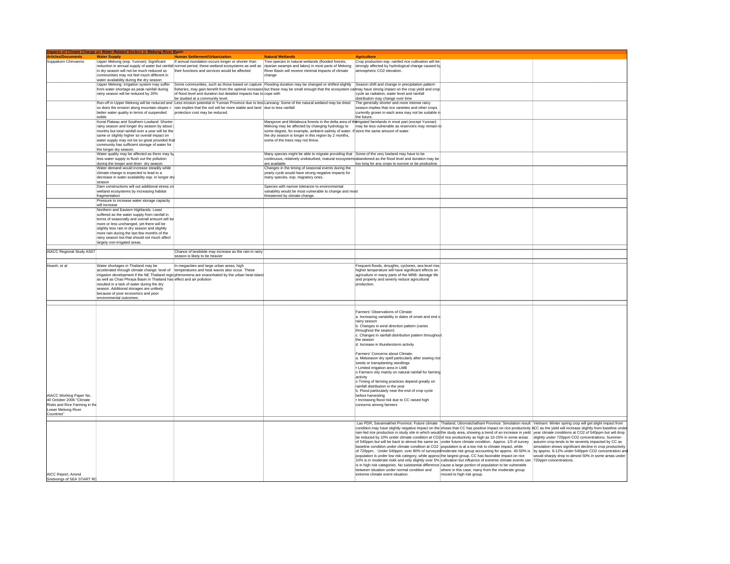|                                                           | <b>Impacts of Climate Change on Water-Related Sectors in Mekong River Basin</b>                                     |                                                                                                                                                              |                                                                                                         |                                                                                                        |                                                                                                                                                                                                              |                                                                                                                                                                      |
|-----------------------------------------------------------|---------------------------------------------------------------------------------------------------------------------|--------------------------------------------------------------------------------------------------------------------------------------------------------------|---------------------------------------------------------------------------------------------------------|--------------------------------------------------------------------------------------------------------|--------------------------------------------------------------------------------------------------------------------------------------------------------------------------------------------------------------|----------------------------------------------------------------------------------------------------------------------------------------------------------------------|
| <b>Articles/Documents</b>                                 | <b>Water Supply</b>                                                                                                 | <b>Human Settlement/Urbanization</b>                                                                                                                         | <b>Natural Wetlands</b>                                                                                 | <b>Agriculture</b>                                                                                     |                                                                                                                                                                                                              |                                                                                                                                                                      |
| Suppakorn Chinyanno                                       |                                                                                                                     | Upper Mekong (esp. Yunnan): Significant   If annual inundation occurs longer or shorter than                                                                 | Tree species in natural wetlands (flooded forests.                                                      | Crop production esp. rainfed rice cultivation will be                                                  |                                                                                                                                                                                                              |                                                                                                                                                                      |
|                                                           |                                                                                                                     | reduction in annual supply of water but rainfall normal period, these wetland ecosystems as well as riparian swamps and lakes) in most parts of Mekong       |                                                                                                         | strongly affected by hydrological change caused by                                                     |                                                                                                                                                                                                              |                                                                                                                                                                      |
|                                                           | in dry season will not be much reduced so                                                                           | their functions and services would be affected                                                                                                               | River Basin will receive minimal impacts of climate                                                     | atmospheric CO2 elevation.                                                                             |                                                                                                                                                                                                              |                                                                                                                                                                      |
|                                                           | communities may not feel much different in                                                                          |                                                                                                                                                              | change                                                                                                  |                                                                                                        |                                                                                                                                                                                                              |                                                                                                                                                                      |
|                                                           | vater availability during the dry season<br>Upper Mekong: Irrigation system may suffer                              | Some communities, such as those based on capture Flooding duration may be changed or shifted slightly Season shift and change in precipitation pattern       |                                                                                                         |                                                                                                        |                                                                                                                                                                                                              |                                                                                                                                                                      |
|                                                           | from water shortage as peak rainfall during                                                                         | fisheries, may gain benefit from the optimal increases but these may be small enough that the ecosystem calmay have strong impact on the crop yield and crop |                                                                                                         |                                                                                                        |                                                                                                                                                                                                              |                                                                                                                                                                      |
|                                                           | rainy season will be reduced by 20%                                                                                 | of flood level and duration but detailed impacts has to cope with                                                                                            |                                                                                                         | cycle as radiation, water level and rainfall                                                           |                                                                                                                                                                                                              |                                                                                                                                                                      |
|                                                           |                                                                                                                     | be studied at a community level.                                                                                                                             |                                                                                                         | distribution may change over time                                                                      |                                                                                                                                                                                                              |                                                                                                                                                                      |
|                                                           |                                                                                                                     | Run-off in Upper Mekong will be reduced and Less erosion potential in Yunnan Province due to less Lancang: Some of the natural wetland may be dried          |                                                                                                         | The generally shorter and more intense rainy                                                           |                                                                                                                                                                                                              |                                                                                                                                                                      |
|                                                           |                                                                                                                     | so does the erosion along mountain slopes = rain implies that the soil will be more stable and land due to less rainfall                                     |                                                                                                         | season implies that rice varieties and other crops                                                     |                                                                                                                                                                                                              |                                                                                                                                                                      |
|                                                           | better water quality in terms of suspended<br>solids                                                                | protection cost may be reduced.                                                                                                                              |                                                                                                         | currently grown in each area may not be suitable in<br>the future.                                     |                                                                                                                                                                                                              |                                                                                                                                                                      |
|                                                           | Korat Plateau and Southern Lowland: Shorter                                                                         |                                                                                                                                                              | Mangrove and Melaleuca forests in the delta area of                                                     | ferrigated farmlands in most part (except Yunnan)                                                      |                                                                                                                                                                                                              |                                                                                                                                                                      |
|                                                           | rainy season and longer dry season by about                                                                         |                                                                                                                                                              | Mekong may be affected by changing hydrology to                                                         | may be less vulnerable as reservoirs may remain to                                                     |                                                                                                                                                                                                              |                                                                                                                                                                      |
|                                                           | months but total rainfall over a year will be the                                                                   |                                                                                                                                                              | some degree, for example, ambient salinity of water. If                                                 | store the same amount of water                                                                         |                                                                                                                                                                                                              |                                                                                                                                                                      |
|                                                           | same or slightly higher so overall impact on                                                                        |                                                                                                                                                              | the dry season is longer in this region by 2 months,                                                    |                                                                                                        |                                                                                                                                                                                                              |                                                                                                                                                                      |
|                                                           | water supply may not be so great provided tha                                                                       |                                                                                                                                                              | some of the trees may not thrive                                                                        |                                                                                                        |                                                                                                                                                                                                              |                                                                                                                                                                      |
|                                                           | community has sufficient storage of water for<br>the longer dry season.                                             |                                                                                                                                                              |                                                                                                         |                                                                                                        |                                                                                                                                                                                                              |                                                                                                                                                                      |
|                                                           | Water quality may be affected as there may be                                                                       |                                                                                                                                                              | Many species might be able to migrate providing that Some of the very lowland may have to be            |                                                                                                        |                                                                                                                                                                                                              |                                                                                                                                                                      |
|                                                           | less water supply to flush out the pollution                                                                        |                                                                                                                                                              | continuous, relatively undisturbed, matural ecosystems abandoned as the flood level and duration may be |                                                                                                        |                                                                                                                                                                                                              |                                                                                                                                                                      |
|                                                           | during the longer and dryer dry season                                                                              |                                                                                                                                                              | are available                                                                                           | too long for any crops to survive or be productive.                                                    |                                                                                                                                                                                                              |                                                                                                                                                                      |
|                                                           | Water demand would increase steadily while                                                                          |                                                                                                                                                              | Changes in the timing of seasonal events during the                                                     |                                                                                                        |                                                                                                                                                                                                              |                                                                                                                                                                      |
|                                                           | climate change is expected to lead to a                                                                             |                                                                                                                                                              | vearly cycle would have strong negative impacts for                                                     |                                                                                                        |                                                                                                                                                                                                              |                                                                                                                                                                      |
|                                                           | decrease in water availability esp. in longer dr                                                                    |                                                                                                                                                              | many species, esp. migratory ones.                                                                      |                                                                                                        |                                                                                                                                                                                                              |                                                                                                                                                                      |
|                                                           | season<br>Dam constructions will out additional stress or                                                           |                                                                                                                                                              | Species with narrow tolerance to environmental                                                          |                                                                                                        |                                                                                                                                                                                                              |                                                                                                                                                                      |
|                                                           | wetland ecosystems by increasing habitat                                                                            |                                                                                                                                                              | variability would be most vulnerable to change and most                                                 |                                                                                                        |                                                                                                                                                                                                              |                                                                                                                                                                      |
|                                                           | fragmentation                                                                                                       |                                                                                                                                                              | threatened by climate change.                                                                           |                                                                                                        |                                                                                                                                                                                                              |                                                                                                                                                                      |
|                                                           | Pressure to increase water storage capacity                                                                         |                                                                                                                                                              |                                                                                                         |                                                                                                        |                                                                                                                                                                                                              |                                                                                                                                                                      |
|                                                           | will increase                                                                                                       |                                                                                                                                                              |                                                                                                         |                                                                                                        |                                                                                                                                                                                                              |                                                                                                                                                                      |
|                                                           | Northern and Eastern Highlands: Least                                                                               |                                                                                                                                                              |                                                                                                         |                                                                                                        |                                                                                                                                                                                                              |                                                                                                                                                                      |
|                                                           | suffered as the water supply from rainfall in<br>terms of seasonally and overall amount will be                     |                                                                                                                                                              |                                                                                                         |                                                                                                        |                                                                                                                                                                                                              |                                                                                                                                                                      |
|                                                           | more or less unchanged, yet there will be                                                                           |                                                                                                                                                              |                                                                                                         |                                                                                                        |                                                                                                                                                                                                              |                                                                                                                                                                      |
|                                                           | slightly less rain in dry season and slightly                                                                       |                                                                                                                                                              |                                                                                                         |                                                                                                        |                                                                                                                                                                                                              |                                                                                                                                                                      |
|                                                           | more rain during the last few months of the                                                                         |                                                                                                                                                              |                                                                                                         |                                                                                                        |                                                                                                                                                                                                              |                                                                                                                                                                      |
|                                                           | rainy season but that should not much affect                                                                        |                                                                                                                                                              |                                                                                                         |                                                                                                        |                                                                                                                                                                                                              |                                                                                                                                                                      |
|                                                           | largely non-irrigated areas.                                                                                        |                                                                                                                                                              |                                                                                                         |                                                                                                        |                                                                                                                                                                                                              |                                                                                                                                                                      |
| AIACC Regional Study AS07                                 |                                                                                                                     | Chance of landslide may increase as the rain in rainy                                                                                                        |                                                                                                         |                                                                                                        |                                                                                                                                                                                                              |                                                                                                                                                                      |
|                                                           |                                                                                                                     | season is likely to be heavier                                                                                                                               |                                                                                                         |                                                                                                        |                                                                                                                                                                                                              |                                                                                                                                                                      |
|                                                           |                                                                                                                     |                                                                                                                                                              |                                                                                                         |                                                                                                        |                                                                                                                                                                                                              |                                                                                                                                                                      |
| Hoanh, et al                                              | Water shortages in Thailand may be                                                                                  | In megacities and large urban areas, high                                                                                                                    |                                                                                                         | Frequent floods, droughts, cyclones, sea level rise,                                                   |                                                                                                                                                                                                              |                                                                                                                                                                      |
|                                                           |                                                                                                                     | accelerated through climate change: level of temperatures and heat waves also occur. These                                                                   |                                                                                                         | higher temperature will have significant effects on                                                    |                                                                                                                                                                                                              |                                                                                                                                                                      |
|                                                           |                                                                                                                     | irrigation development if the NE Thailand regic phenomena are exacerbated by the urban heat-island                                                           |                                                                                                         | agriculture in many parts of the MRB: damage life                                                      |                                                                                                                                                                                                              |                                                                                                                                                                      |
|                                                           | as well as Chao Phraya Basin in Thailand has effect and air pollution<br>resulted in a lack of water during the dry |                                                                                                                                                              |                                                                                                         | and property and severly reduce agricultural<br>production.                                            |                                                                                                                                                                                                              |                                                                                                                                                                      |
|                                                           | season. Additional storages are unlikely                                                                            |                                                                                                                                                              |                                                                                                         |                                                                                                        |                                                                                                                                                                                                              |                                                                                                                                                                      |
|                                                           | because of poor economics and poor                                                                                  |                                                                                                                                                              |                                                                                                         |                                                                                                        |                                                                                                                                                                                                              |                                                                                                                                                                      |
|                                                           | environmental outcomes.                                                                                             |                                                                                                                                                              |                                                                                                         |                                                                                                        |                                                                                                                                                                                                              |                                                                                                                                                                      |
|                                                           |                                                                                                                     |                                                                                                                                                              |                                                                                                         |                                                                                                        |                                                                                                                                                                                                              |                                                                                                                                                                      |
|                                                           |                                                                                                                     |                                                                                                                                                              |                                                                                                         |                                                                                                        |                                                                                                                                                                                                              |                                                                                                                                                                      |
|                                                           |                                                                                                                     |                                                                                                                                                              |                                                                                                         | Farmers' Observations of Climate:<br>a. Increasing variability in dates of onset and end o             |                                                                                                                                                                                                              |                                                                                                                                                                      |
|                                                           |                                                                                                                     |                                                                                                                                                              |                                                                                                         | rainv season                                                                                           |                                                                                                                                                                                                              |                                                                                                                                                                      |
|                                                           |                                                                                                                     |                                                                                                                                                              |                                                                                                         | b. Changes in wind direction pattern (varies                                                           |                                                                                                                                                                                                              |                                                                                                                                                                      |
|                                                           |                                                                                                                     |                                                                                                                                                              |                                                                                                         | throughout the season)                                                                                 |                                                                                                                                                                                                              |                                                                                                                                                                      |
|                                                           |                                                                                                                     |                                                                                                                                                              |                                                                                                         | c. Changes in rainfall distribution pattern throughout                                                 |                                                                                                                                                                                                              |                                                                                                                                                                      |
|                                                           |                                                                                                                     |                                                                                                                                                              |                                                                                                         | the season                                                                                             |                                                                                                                                                                                                              |                                                                                                                                                                      |
|                                                           |                                                                                                                     |                                                                                                                                                              |                                                                                                         | d. Increase in thunderstorm activity                                                                   |                                                                                                                                                                                                              |                                                                                                                                                                      |
|                                                           |                                                                                                                     |                                                                                                                                                              |                                                                                                         | Farmers' Concerns about Climate                                                                        |                                                                                                                                                                                                              |                                                                                                                                                                      |
|                                                           |                                                                                                                     |                                                                                                                                                              |                                                                                                         | a. Midseason dry spell particularly after sowing rice                                                  |                                                                                                                                                                                                              |                                                                                                                                                                      |
|                                                           |                                                                                                                     |                                                                                                                                                              |                                                                                                         | seeds or transplanting seedlings                                                                       |                                                                                                                                                                                                              |                                                                                                                                                                      |
|                                                           |                                                                                                                     |                                                                                                                                                              |                                                                                                         | Limited irrigation area in LMB                                                                         |                                                                                                                                                                                                              |                                                                                                                                                                      |
|                                                           |                                                                                                                     |                                                                                                                                                              |                                                                                                         | o Farmers rely mainly on natural rainfall for farming                                                  |                                                                                                                                                                                                              |                                                                                                                                                                      |
|                                                           |                                                                                                                     |                                                                                                                                                              |                                                                                                         | activity                                                                                               |                                                                                                                                                                                                              |                                                                                                                                                                      |
|                                                           |                                                                                                                     |                                                                                                                                                              |                                                                                                         | o Timing of farming practices depend greatly on                                                        |                                                                                                                                                                                                              |                                                                                                                                                                      |
|                                                           |                                                                                                                     |                                                                                                                                                              |                                                                                                         | rainfall distribution in the year<br>b. Flood particularly near the end of crop cycle                  |                                                                                                                                                                                                              |                                                                                                                                                                      |
| AIACC Working Paper No.                                   |                                                                                                                     |                                                                                                                                                              |                                                                                                         | before harvesting                                                                                      |                                                                                                                                                                                                              |                                                                                                                                                                      |
|                                                           |                                                                                                                     |                                                                                                                                                              |                                                                                                         | . Increasing flood risk due to CC raised high                                                          |                                                                                                                                                                                                              |                                                                                                                                                                      |
| 40 October 2006 "Climate<br>Risks and Rice Farming in the |                                                                                                                     |                                                                                                                                                              |                                                                                                         | concerns among farmers                                                                                 |                                                                                                                                                                                                              |                                                                                                                                                                      |
| Lower Mekong River                                        |                                                                                                                     |                                                                                                                                                              |                                                                                                         |                                                                                                        |                                                                                                                                                                                                              |                                                                                                                                                                      |
| Countries*                                                |                                                                                                                     |                                                                                                                                                              |                                                                                                         |                                                                                                        |                                                                                                                                                                                                              |                                                                                                                                                                      |
|                                                           |                                                                                                                     |                                                                                                                                                              |                                                                                                         |                                                                                                        | Lao PDR, Savannakhet Province: Future climate   Thailand, Ubonratchathani Province: Simulation result   Vietnam: Winter spring crop will get slight impact from                                              |                                                                                                                                                                      |
|                                                           |                                                                                                                     |                                                                                                                                                              |                                                                                                         |                                                                                                        |                                                                                                                                                                                                              | condition may have slightly negative impact on the shows that CC has positive impact on rice productivity iCC as the yield will increase slightly from baseline unde |
|                                                           |                                                                                                                     |                                                                                                                                                              |                                                                                                         |                                                                                                        |                                                                                                                                                                                                              | rain-fed rice production in study site in which would the study area, showing a trend of an increase in yield vear climate conditions at CO2 of 540ppm but will drop |
|                                                           |                                                                                                                     |                                                                                                                                                              |                                                                                                         |                                                                                                        | be reduced by 10% under climate condition at CO2of rice productivity as high as 10-15% in some areas                                                                                                         | slightly under 720ppm CO2 concentrations. Summer-                                                                                                                    |
|                                                           |                                                                                                                     |                                                                                                                                                              |                                                                                                         |                                                                                                        | of 540ppm but will be back to almost the same as under future climate condition. Approx. 1/3 of survey                                                                                                       | autumn crop tends to be severely impacted by CC as                                                                                                                   |
|                                                           |                                                                                                                     |                                                                                                                                                              |                                                                                                         | baseline condition under climate condition at CO2 population is at a low risk to climate impact, while |                                                                                                                                                                                                              | simulation shows significant decline in crop productivity                                                                                                            |
|                                                           |                                                                                                                     |                                                                                                                                                              |                                                                                                         |                                                                                                        | of 720ppm. Under 540ppm, over 80% of surveyed moderate risk group accounting for approx. 40-50% is<br>population is under low risk category, while approx the largest group. CC has favorable impact on rice | by approx. 8-12% under 540ppm CO2 concentration an<br>would sharply drop to almost 50% in some areas under                                                           |
|                                                           |                                                                                                                     |                                                                                                                                                              |                                                                                                         |                                                                                                        | 10% is in moderate riskk and only slightly over 5% cultivation but influence of extreme climate events can                                                                                                   | 720ppm concentrations.                                                                                                                                               |
|                                                           |                                                                                                                     |                                                                                                                                                              |                                                                                                         |                                                                                                        | is in high risk categories. No substantial difference cause a large portion of population to be vulnerable                                                                                                   |                                                                                                                                                                      |
|                                                           |                                                                                                                     |                                                                                                                                                              |                                                                                                         | between situation under normal condition and                                                           | where in this case, many from the moderate group                                                                                                                                                             |                                                                                                                                                                      |
| AICC Report, Anond                                        |                                                                                                                     |                                                                                                                                                              |                                                                                                         | extreme climate event situation.                                                                       | moved to high risk group.                                                                                                                                                                                    |                                                                                                                                                                      |
| Snidvongs of SEA START RO                                 |                                                                                                                     |                                                                                                                                                              |                                                                                                         |                                                                                                        |                                                                                                                                                                                                              |                                                                                                                                                                      |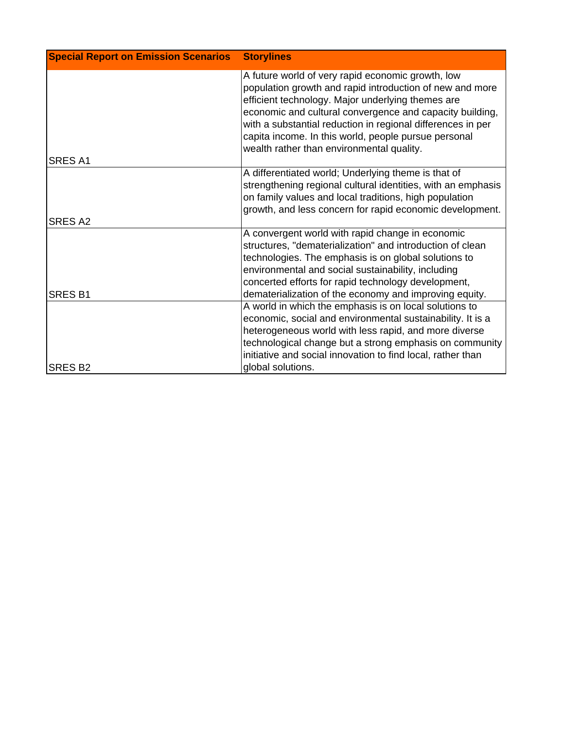| <b>Special Report on Emission Scenarios</b> | <b>Storylines</b>                                                                                                                                                                                                                                                                                                                                                                                  |
|---------------------------------------------|----------------------------------------------------------------------------------------------------------------------------------------------------------------------------------------------------------------------------------------------------------------------------------------------------------------------------------------------------------------------------------------------------|
| <b>SRES A1</b>                              | A future world of very rapid economic growth, low<br>population growth and rapid introduction of new and more<br>efficient technology. Major underlying themes are<br>economic and cultural convergence and capacity building,<br>with a substantial reduction in regional differences in per<br>capita income. In this world, people pursue personal<br>wealth rather than environmental quality. |
|                                             | A differentiated world; Underlying theme is that of<br>strengthening regional cultural identities, with an emphasis<br>on family values and local traditions, high population<br>growth, and less concern for rapid economic development.                                                                                                                                                          |
| <b>SRES A2</b>                              |                                                                                                                                                                                                                                                                                                                                                                                                    |
| <b>SRES B1</b>                              | A convergent world with rapid change in economic<br>structures, "dematerialization" and introduction of clean<br>technologies. The emphasis is on global solutions to<br>environmental and social sustainability, including<br>concerted efforts for rapid technology development,<br>dematerialization of the economy and improving equity.                                                       |
| <b>SRES B2</b>                              | A world in which the emphasis is on local solutions to<br>economic, social and environmental sustainability. It is a<br>heterogeneous world with less rapid, and more diverse<br>technological change but a strong emphasis on community<br>initiative and social innovation to find local, rather than<br>global solutions.                                                                       |